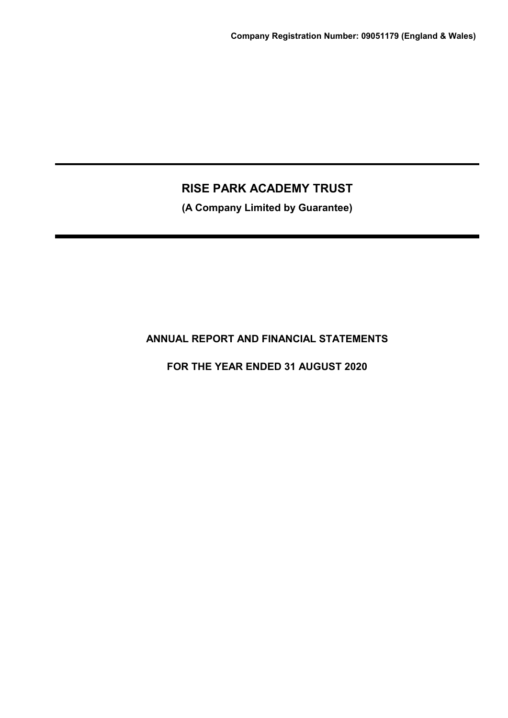**(A Company Limited by Guarantee)**

# **ANNUAL REPORT AND FINANCIAL STATEMENTS**

**FOR THE YEAR ENDED 31 AUGUST 2020**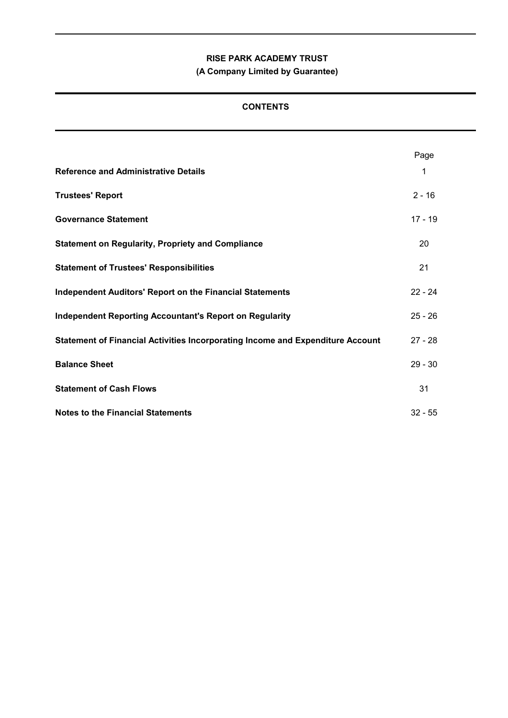**(A Company Limited by Guarantee)**

# **CONTENTS**

|                                                                                | Page      |
|--------------------------------------------------------------------------------|-----------|
| <b>Reference and Administrative Details</b>                                    | 1         |
| <b>Trustees' Report</b>                                                        | $2 - 16$  |
| <b>Governance Statement</b>                                                    | $17 - 19$ |
| <b>Statement on Regularity, Propriety and Compliance</b>                       | 20        |
| <b>Statement of Trustees' Responsibilities</b>                                 | 21        |
| <b>Independent Auditors' Report on the Financial Statements</b>                | $22 - 24$ |
| <b>Independent Reporting Accountant's Report on Regularity</b>                 | $25 - 26$ |
| Statement of Financial Activities Incorporating Income and Expenditure Account | $27 - 28$ |
| <b>Balance Sheet</b>                                                           | $29 - 30$ |
| <b>Statement of Cash Flows</b>                                                 | 31        |
| <b>Notes to the Financial Statements</b>                                       | $32 - 55$ |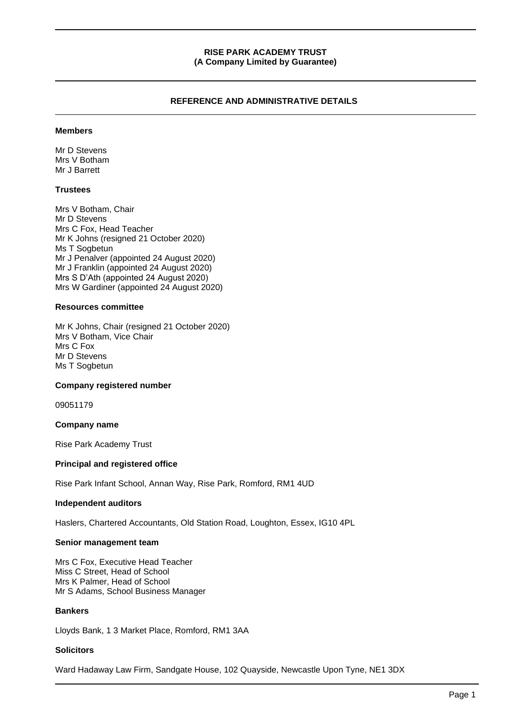# **REFERENCE AND ADMINISTRATIVE DETAILS**

#### **Members**

Mr D Stevens Mrs V Botham Mr J Barrett

#### **Trustees**

Mrs V Botham, Chair Mr D Stevens Mrs C Fox, Head Teacher Mr K Johns (resigned 21 October 2020) Ms T Sogbetun Mr J Penalver (appointed 24 August 2020) Mr J Franklin (appointed 24 August 2020) Mrs S D'Ath (appointed 24 August 2020) Mrs W Gardiner (appointed 24 August 2020)

#### **Resources committee**

Mr K Johns, Chair (resigned 21 October 2020) Mrs V Botham, Vice Chair Mrs C Fox Mr D Stevens Ms T Sogbetun

#### **Company registered number**

09051179

### **Company name**

Rise Park Academy Trust

### **Principal and registered office**

Rise Park Infant School, Annan Way, Rise Park, Romford, RM1 4UD

#### **Independent auditors**

Haslers, Chartered Accountants, Old Station Road, Loughton, Essex, IG10 4PL

#### **Senior management team**

Mrs C Fox, Executive Head Teacher Miss C Street, Head of School Mrs K Palmer, Head of School Mr S Adams, School Business Manager

#### **Bankers**

Lloyds Bank, 1 3 Market Place, Romford, RM1 3AA

### **Solicitors**

Ward Hadaway Law Firm, Sandgate House, 102 Quayside, Newcastle Upon Tyne, NE1 3DX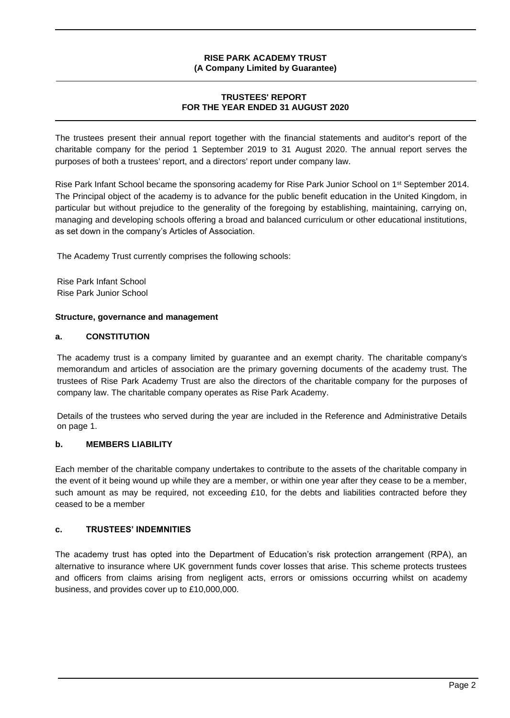# **TRUSTEES' REPORT FOR THE YEAR ENDED 31 AUGUST 2020**

The trustees present their annual report together with the financial statements and auditor's report of the charitable company for the period 1 September 2019 to 31 August 2020. The annual report serves the purposes of both a trustees' report, and a directors' report under company law.

Rise Park Infant School became the sponsoring academy for Rise Park Junior School on 1<sup>st</sup> September 2014. The Principal object of the academy is to advance for the public benefit education in the United Kingdom, in particular but without prejudice to the generality of the foregoing by establishing, maintaining, carrying on, managing and developing schools offering a broad and balanced curriculum or other educational institutions, as set down in the company's Articles of Association.

The Academy Trust currently comprises the following schools:

Rise Park Infant School Rise Park Junior School

### **Structure, governance and management**

# **a. CONSTITUTION**

The academy trust is a company limited by guarantee and an exempt charity. The charitable company's memorandum and articles of association are the primary governing documents of the academy trust. The trustees of Rise Park Academy Trust are also the directors of the charitable company for the purposes of company law. The charitable company operates as Rise Park Academy.

Details of the trustees who served during the year are included in the Reference and Administrative Details on page 1.

# **b. MEMBERS LIABILITY**

Each member of the charitable company undertakes to contribute to the assets of the charitable company in the event of it being wound up while they are a member, or within one year after they cease to be a member, such amount as may be required, not exceeding £10, for the debts and liabilities contracted before they ceased to be a member

### **c. TRUSTEES' INDEMNITIES**

The academy trust has opted into the Department of Education's risk protection arrangement (RPA), an alternative to insurance where UK government funds cover losses that arise. This scheme protects trustees and officers from claims arising from negligent acts, errors or omissions occurring whilst on academy business, and provides cover up to £10,000,000.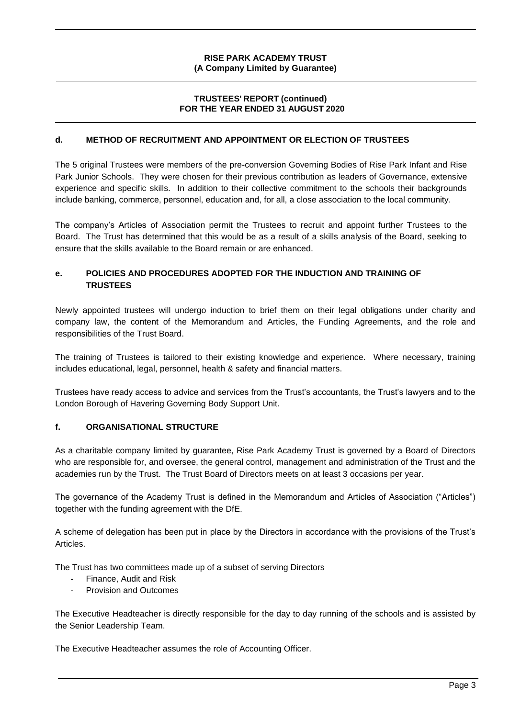# **TRUSTEES' REPORT (continued) FOR THE YEAR ENDED 31 AUGUST 2020**

# **d. METHOD OF RECRUITMENT AND APPOINTMENT OR ELECTION OF TRUSTEES**

The 5 original Trustees were members of the pre-conversion Governing Bodies of Rise Park Infant and Rise Park Junior Schools. They were chosen for their previous contribution as leaders of Governance, extensive experience and specific skills. In addition to their collective commitment to the schools their backgrounds include banking, commerce, personnel, education and, for all, a close association to the local community.

The company's Articles of Association permit the Trustees to recruit and appoint further Trustees to the Board. The Trust has determined that this would be as a result of a skills analysis of the Board, seeking to ensure that the skills available to the Board remain or are enhanced.

# **e. POLICIES AND PROCEDURES ADOPTED FOR THE INDUCTION AND TRAINING OF TRUSTEES**

Newly appointed trustees will undergo induction to brief them on their legal obligations under charity and company law, the content of the Memorandum and Articles, the Funding Agreements, and the role and responsibilities of the Trust Board.

The training of Trustees is tailored to their existing knowledge and experience. Where necessary, training includes educational, legal, personnel, health & safety and financial matters.

Trustees have ready access to advice and services from the Trust's accountants, the Trust's lawyers and to the London Borough of Havering Governing Body Support Unit.

# **f. ORGANISATIONAL STRUCTURE**

As a charitable company limited by guarantee, Rise Park Academy Trust is governed by a Board of Directors who are responsible for, and oversee, the general control, management and administration of the Trust and the academies run by the Trust. The Trust Board of Directors meets on at least 3 occasions per year.

The governance of the Academy Trust is defined in the Memorandum and Articles of Association ("Articles") together with the funding agreement with the DfE.

A scheme of delegation has been put in place by the Directors in accordance with the provisions of the Trust's Articles.

The Trust has two committees made up of a subset of serving Directors

- Finance, Audit and Risk
- Provision and Outcomes

The Executive Headteacher is directly responsible for the day to day running of the schools and is assisted by the Senior Leadership Team.

The Executive Headteacher assumes the role of Accounting Officer.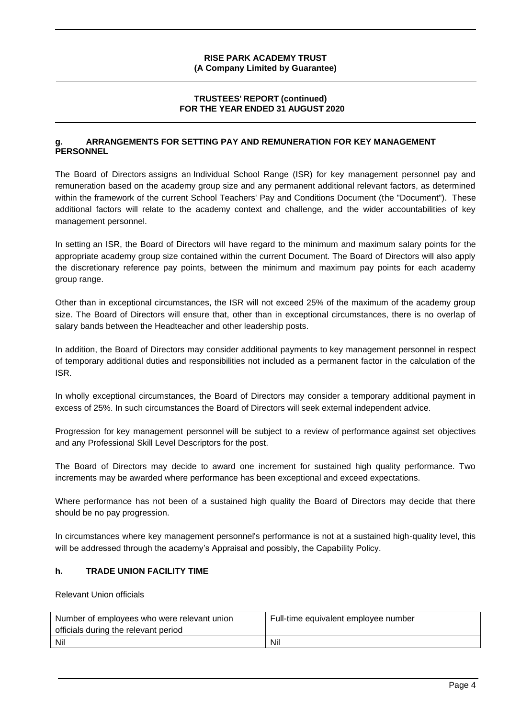# **TRUSTEES' REPORT (continued) FOR THE YEAR ENDED 31 AUGUST 2020**

# **g. ARRANGEMENTS FOR SETTING PAY AND REMUNERATION FOR KEY MANAGEMENT PERSONNEL**

The Board of Directors assigns an Individual School Range (ISR) for key management personnel pay and remuneration based on the academy group size and any permanent additional relevant factors, as determined within the framework of the current School Teachers' Pay and Conditions Document (the "Document"). These additional factors will relate to the academy context and challenge, and the wider accountabilities of key management personnel.

In setting an ISR, the Board of Directors will have regard to the minimum and maximum salary points for the appropriate academy group size contained within the current Document. The Board of Directors will also apply the discretionary reference pay points, between the minimum and maximum pay points for each academy group range.

Other than in exceptional circumstances, the ISR will not exceed 25% of the maximum of the academy group size. The Board of Directors will ensure that, other than in exceptional circumstances, there is no overlap of salary bands between the Headteacher and other leadership posts.

In addition, the Board of Directors may consider additional payments to key management personnel in respect of temporary additional duties and responsibilities not included as a permanent factor in the calculation of the ISR.

In wholly exceptional circumstances, the Board of Directors may consider a temporary additional payment in excess of 25%. In such circumstances the Board of Directors will seek external independent advice.

Progression for key management personnel will be subject to a review of performance against set objectives and any Professional Skill Level Descriptors for the post.

The Board of Directors may decide to award one increment for sustained high quality performance. Two increments may be awarded where performance has been exceptional and exceed expectations.

Where performance has not been of a sustained high quality the Board of Directors may decide that there should be no pay progression.

In circumstances where key management personnel's performance is not at a sustained high-quality level, this will be addressed through the academy's Appraisal and possibly, the Capability Policy.

# **h. TRADE UNION FACILITY TIME**

Relevant Union officials

| Number of employees who were relevant union | Full-time equivalent employee number |
|---------------------------------------------|--------------------------------------|
| officials during the relevant period        |                                      |
| Nil                                         | Nil                                  |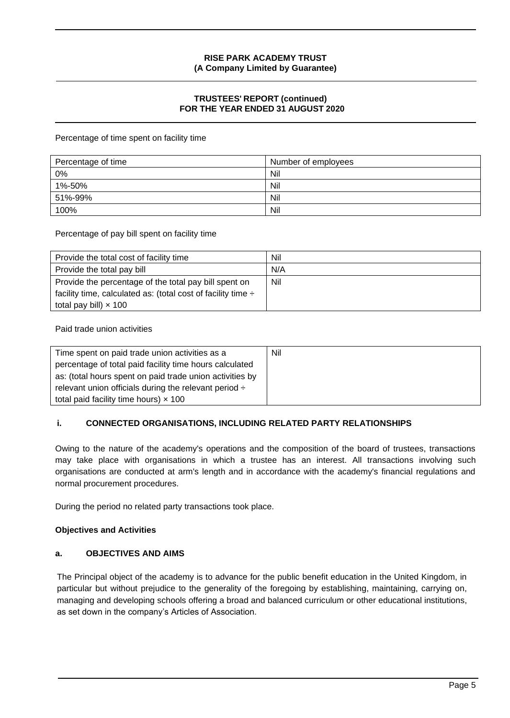# **TRUSTEES' REPORT (continued) FOR THE YEAR ENDED 31 AUGUST 2020**

Percentage of time spent on facility time

| Percentage of time | Number of employees |
|--------------------|---------------------|
| 0%                 | Nil                 |
| 1%-50%             | Nil                 |
| 51%-99%            | Nil                 |
| 100%               | Nil                 |

Percentage of pay bill spent on facility time

| Provide the total cost of facility time                           | Nil |
|-------------------------------------------------------------------|-----|
| Provide the total pay bill                                        | N/A |
| Provide the percentage of the total pay bill spent on             | Nil |
| facility time, calculated as: (total cost of facility time $\div$ |     |
| total pay bill) $\times$ 100                                      |     |

Paid trade union activities

| Time spent on paid trade union activities as a             | Nil |
|------------------------------------------------------------|-----|
| percentage of total paid facility time hours calculated    |     |
| as: (total hours spent on paid trade union activities by   |     |
| relevant union officials during the relevant period $\div$ |     |
| total paid facility time hours) $\times$ 100               |     |

# **i. CONNECTED ORGANISATIONS, INCLUDING RELATED PARTY RELATIONSHIPS**

Owing to the nature of the academy's operations and the composition of the board of trustees, transactions may take place with organisations in which a trustee has an interest. All transactions involving such organisations are conducted at arm's length and in accordance with the academy's financial regulations and normal procurement procedures.

During the period no related party transactions took place.

### **Objectives and Activities**

# **a. OBJECTIVES AND AIMS**

The Principal object of the academy is to advance for the public benefit education in the United Kingdom, in particular but without prejudice to the generality of the foregoing by establishing, maintaining, carrying on, managing and developing schools offering a broad and balanced curriculum or other educational institutions, as set down in the company's Articles of Association.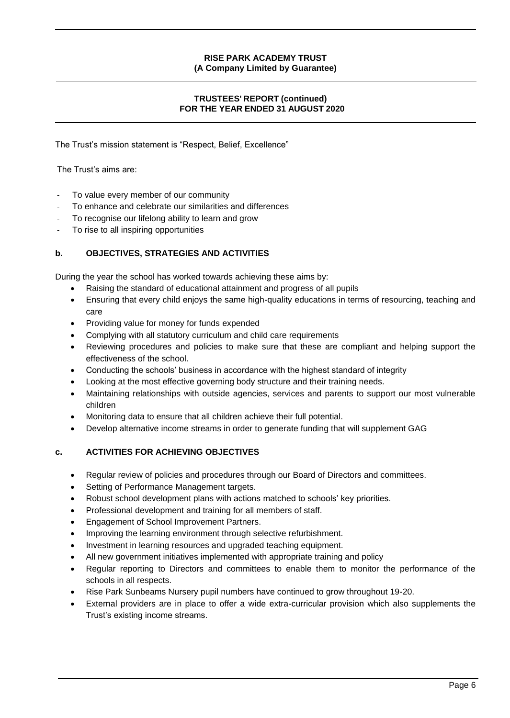# **TRUSTEES' REPORT (continued) FOR THE YEAR ENDED 31 AUGUST 2020**

The Trust's mission statement is "Respect, Belief, Excellence"

The Trust's aims are:

- To value every member of our community
- To enhance and celebrate our similarities and differences
- To recognise our lifelong ability to learn and grow
- To rise to all inspiring opportunities

# **b. OBJECTIVES, STRATEGIES AND ACTIVITIES**

During the year the school has worked towards achieving these aims by:

- Raising the standard of educational attainment and progress of all pupils
- Ensuring that every child enjoys the same high-quality educations in terms of resourcing, teaching and care
- Providing value for money for funds expended
- Complying with all statutory curriculum and child care requirements
- Reviewing procedures and policies to make sure that these are compliant and helping support the effectiveness of the school.
- Conducting the schools' business in accordance with the highest standard of integrity
- Looking at the most effective governing body structure and their training needs.
- Maintaining relationships with outside agencies, services and parents to support our most vulnerable children
- Monitoring data to ensure that all children achieve their full potential.
- Develop alternative income streams in order to generate funding that will supplement GAG

# **c. ACTIVITIES FOR ACHIEVING OBJECTIVES**

- Regular review of policies and procedures through our Board of Directors and committees.
- Setting of Performance Management targets.
- Robust school development plans with actions matched to schools' key priorities.
- Professional development and training for all members of staff.
- Engagement of School Improvement Partners.
- Improving the learning environment through selective refurbishment.
- Investment in learning resources and upgraded teaching equipment.
- All new government initiatives implemented with appropriate training and policy
- Regular reporting to Directors and committees to enable them to monitor the performance of the schools in all respects.
- Rise Park Sunbeams Nursery pupil numbers have continued to grow throughout 19-20.
- External providers are in place to offer a wide extra-curricular provision which also supplements the Trust's existing income streams.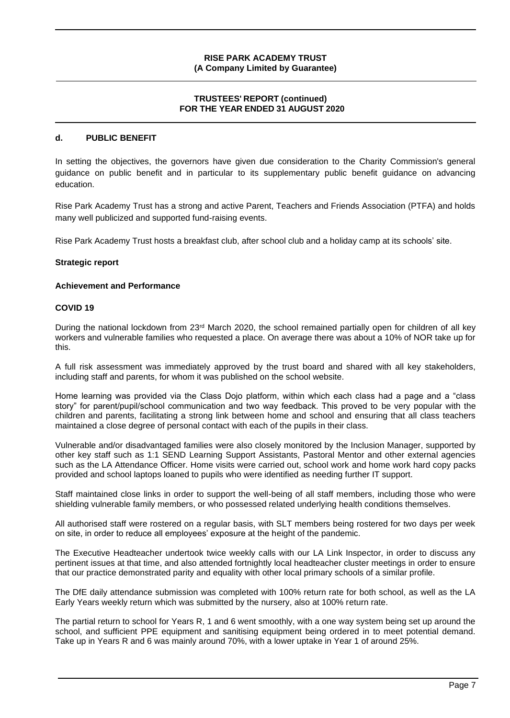### **TRUSTEES' REPORT (continued) FOR THE YEAR ENDED 31 AUGUST 2020**

# **d. PUBLIC BENEFIT**

In setting the objectives, the governors have given due consideration to the Charity Commission's general guidance on public benefit and in particular to its supplementary public benefit guidance on advancing education.

Rise Park Academy Trust has a strong and active Parent, Teachers and Friends Association (PTFA) and holds many well publicized and supported fund-raising events.

Rise Park Academy Trust hosts a breakfast club, after school club and a holiday camp at its schools' site.

#### **Strategic report**

#### **Achievement and Performance**

#### **COVID 19**

During the national lockdown from 23rd March 2020, the school remained partially open for children of all key workers and vulnerable families who requested a place. On average there was about a 10% of NOR take up for this.

A full risk assessment was immediately approved by the trust board and shared with all key stakeholders, including staff and parents, for whom it was published on the school website.

Home learning was provided via the Class Dojo platform, within which each class had a page and a "class story" for parent/pupil/school communication and two way feedback. This proved to be very popular with the children and parents, facilitating a strong link between home and school and ensuring that all class teachers maintained a close degree of personal contact with each of the pupils in their class.

Vulnerable and/or disadvantaged families were also closely monitored by the Inclusion Manager, supported by other key staff such as 1:1 SEND Learning Support Assistants, Pastoral Mentor and other external agencies such as the LA Attendance Officer. Home visits were carried out, school work and home work hard copy packs provided and school laptops loaned to pupils who were identified as needing further IT support.

Staff maintained close links in order to support the well-being of all staff members, including those who were shielding vulnerable family members, or who possessed related underlying health conditions themselves.

All authorised staff were rostered on a regular basis, with SLT members being rostered for two days per week on site, in order to reduce all employees' exposure at the height of the pandemic.

The Executive Headteacher undertook twice weekly calls with our LA Link Inspector, in order to discuss any pertinent issues at that time, and also attended fortnightly local headteacher cluster meetings in order to ensure that our practice demonstrated parity and equality with other local primary schools of a similar profile.

The DfE daily attendance submission was completed with 100% return rate for both school, as well as the LA Early Years weekly return which was submitted by the nursery, also at 100% return rate.

The partial return to school for Years R, 1 and 6 went smoothly, with a one way system being set up around the school, and sufficient PPE equipment and sanitising equipment being ordered in to meet potential demand. Take up in Years R and 6 was mainly around 70%, with a lower uptake in Year 1 of around 25%.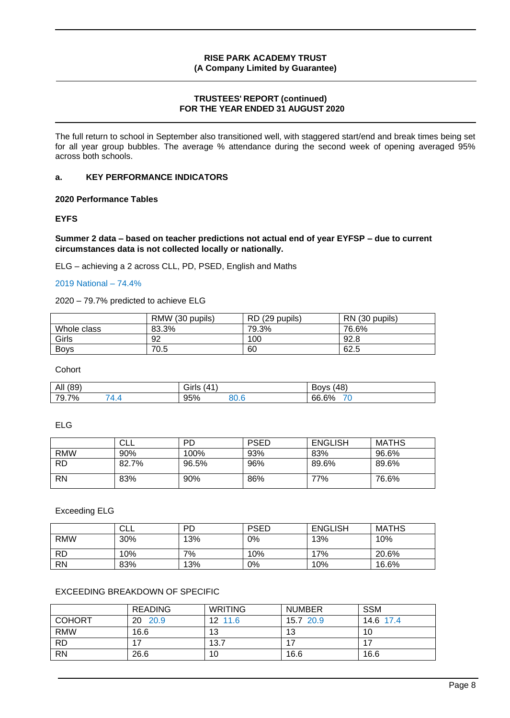# **TRUSTEES' REPORT (continued) FOR THE YEAR ENDED 31 AUGUST 2020**

The full return to school in September also transitioned well, with staggered start/end and break times being set for all year group bubbles. The average % attendance during the second week of opening averaged 95% across both schools.

# **a. KEY PERFORMANCE INDICATORS**

**2020 Performance Tables**

#### **EYFS**

**Summer 2 data – based on teacher predictions not actual end of year EYFSP – due to current circumstances data is not collected locally or nationally.**

ELG – achieving a 2 across CLL, PD, PSED, English and Maths

#### 2019 National – 74.4%

#### 2020 – 79.7% predicted to achieve ELG

|             | RMW (30 pupils) | RD (29 pupils) | RN (30 pupils) |
|-------------|-----------------|----------------|----------------|
| Whole class | 83.3%           | 79.3%          | 76.6%          |
| Girls       | 92              | 100            | 92.8           |
| <b>Bovs</b> | 70.5            | 60             | 62.5           |

**Cohort** 

| All                                        | $\mathbf{A}^{\mathbf{A}}$ | (48)              |
|--------------------------------------------|---------------------------|-------------------|
| (89)                                       | Girls                     | Bovs              |
| $\overline{\phantom{a}}$<br>7%<br><br>ె. / | 95%<br>י הח<br>ט.טכי      | - -<br>6%<br>66.6 |

ELG

|            | CLL   | PD    | <b>PSED</b> | ENGLISH | MATHS |
|------------|-------|-------|-------------|---------|-------|
| <b>RMW</b> | 90%   | 100%  | 93%         | 83%     | 96.6% |
| <b>RD</b>  | 82.7% | 96.5% | 96%         | 89.6%   | 89.6% |
| <b>RN</b>  | 83%   | 90%   | 86%         | 77%     | 76.6% |

### Exceeding ELG

|            | CLL | <b>PD</b> | <b>PSED</b> | <b>ENGLISH</b> | <b>MATHS</b> |
|------------|-----|-----------|-------------|----------------|--------------|
| <b>RMW</b> | 30% | 13%       | 0%          | 13%            | 10%          |
| <b>RD</b>  | 10% | 7%        | 10%         | 17%            | 20.6%        |
| <b>RN</b>  | 83% | 13%       | 0%          | 10%            | 16.6%        |

### EXCEEDING BREAKDOWN OF SPECIFIC

|               | <b>READING</b> | <b>WRITING</b> | <b>NUMBER</b> | <b>SSM</b> |
|---------------|----------------|----------------|---------------|------------|
| <b>COHORT</b> | 20 20.9        | 12 11.6        | 15.7 20.9     | 14.6 17.4  |
| <b>RMW</b>    | 16.6           | 13             | 13            | 10         |
| <b>RD</b>     |                | 13.7           |               |            |
| <b>RN</b>     | 26.6           | 10             | 16.6          | 16.6       |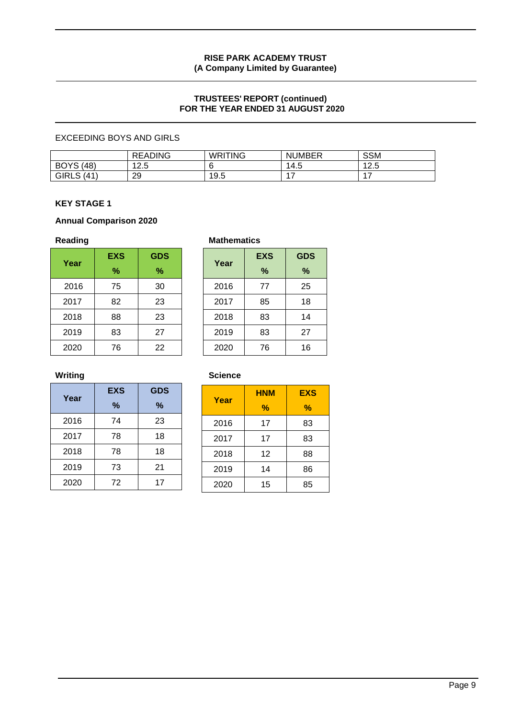# **TRUSTEES' REPORT (continued) FOR THE YEAR ENDED 31 AUGUST 2020**

# EXCEEDING BOYS AND GIRLS

|                     | <b>READING</b> | <b>WRITING</b> | <b>NUMBER</b> | <b>SSM</b> |
|---------------------|----------------|----------------|---------------|------------|
| <b>BOYS</b><br>(48) | 1つ に<br>ت.ء    |                | 14.5          | 40F<br>ں.ء |
| <b>GIRLS (41)</b>   | 20<br>∠J       | 19.5           |               |            |

# **KEY STAGE 1**

### **Annual Comparison 2020**

|      | <b>EXS</b> | <b>GDS</b> |
|------|------------|------------|
| Year | %          | %          |
| 2016 | 75         | 30         |
| 2017 | 82         | 23         |
| 2018 | 88         | 23         |
| 2019 | 83         | 27         |
| 2020 | 76         | 22         |

#### Reading **Mathematics Mathematics**

| Year | <b>EXS</b> | <b>GDS</b> |
|------|------------|------------|
|      | %          | %          |
| 2016 | 77         | 25         |
| 2017 | 85         | 18         |
| 2018 | 83         | 14         |
| 2019 | 83         | 27         |
| 2020 | 76         | 16         |

# **Writing Science**

| Year | <b>EXS</b> | <b>GDS</b> |  |  |
|------|------------|------------|--|--|
|      | %          | $\%$       |  |  |
| 2016 | 74         | 23         |  |  |
| 2017 | 78         | 18         |  |  |
| 2018 | 78         | 18         |  |  |
| 2019 | 73         | 21         |  |  |
| 2020 | 72         | 17         |  |  |

| Year | HNM | <b>EXS</b> |
|------|-----|------------|
|      | %   | $\%$       |
| 2016 | 17  | 83         |
| 2017 | 17  | 83         |
| 2018 | 12  | 88         |
| 2019 | 14  | 86         |
| 2020 | 15  | 85         |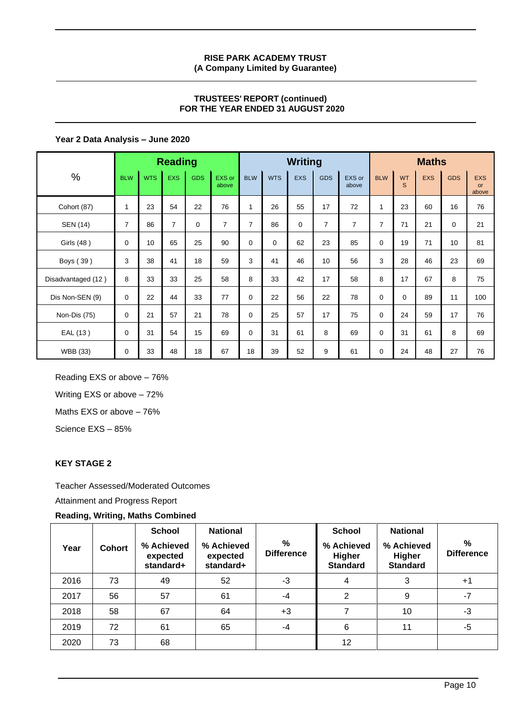# **TRUSTEES' REPORT (continued) FOR THE YEAR ENDED 31 AUGUST 2020**

# **Year 2 Data Analysis – June 2020**

|                    | <b>Reading</b> |            |                |            |                 |                | <b>Writing</b> |            |                |                 | <b>Maths</b>   |                |            |            |                                  |
|--------------------|----------------|------------|----------------|------------|-----------------|----------------|----------------|------------|----------------|-----------------|----------------|----------------|------------|------------|----------------------------------|
| $\%$               | <b>BLW</b>     | <b>WTS</b> | <b>EXS</b>     | <b>GDS</b> | EXS or<br>above | <b>BLW</b>     | <b>WTS</b>     | <b>EXS</b> | <b>GDS</b>     | EXS or<br>above | <b>BLW</b>     | <b>WT</b><br>S | <b>EXS</b> | <b>GDS</b> | <b>EXS</b><br><b>or</b><br>above |
| Cohort (87)        | 1              | 23         | 54             | 22         | 76              | $\mathbf{1}$   | 26             | 55         | 17             | 72              | 1              | 23             | 60         | 16         | 76                               |
| SEN (14)           | $\overline{7}$ | 86         | $\overline{7}$ | 0          | $\overline{7}$  | $\overline{7}$ | 86             | $\Omega$   | $\overline{7}$ | $\overline{7}$  | $\overline{7}$ | 71             | 21         | 0          | 21                               |
| Girls (48)         | 0              | 10         | 65             | 25         | 90              | $\Omega$       | $\Omega$       | 62         | 23             | 85              | $\mathbf 0$    | 19             | 71         | 10         | 81                               |
| Boys (39)          | 3              | 38         | 41             | 18         | 59              | 3              | 41             | 46         | 10             | 56              | 3              | 28             | 46         | 23         | 69                               |
| Disadvantaged (12) | 8              | 33         | 33             | 25         | 58              | 8              | 33             | 42         | 17             | 58              | 8              | 17             | 67         | 8          | 75                               |
| Dis Non-SEN (9)    | 0              | 22         | 44             | 33         | 77              | 0              | 22             | 56         | 22             | 78              | $\mathbf 0$    | 0              | 89         | 11         | 100                              |
| Non-Dis (75)       | 0              | 21         | 57             | 21         | 78              | 0              | 25             | 57         | 17             | 75              | $\mathbf 0$    | 24             | 59         | 17         | 76                               |
| EAL (13)           | 0              | 31         | 54             | 15         | 69              | 0              | 31             | 61         | 8              | 69              | $\mathbf 0$    | 31             | 61         | 8          | 69                               |
| WBB (33)           | 0              | 33         | 48             | 18         | 67              | 18             | 39             | 52         | 9              | 61              | $\mathbf 0$    | 24             | 48         | 27         | 76                               |

Reading EXS or above – 76% Writing EXS or above – 72%

Maths EXS or above – 76%

Science EXS – 85%

# **KEY STAGE 2**

Teacher Assessed/Moderated Outcomes

Attainment and Progress Report

# **Reading, Writing, Maths Combined**

| Year | <b>Cohort</b> | <b>School</b><br>% Achieved<br>expected<br>standard+ | <b>National</b><br>% Achieved<br>expected<br>standard+ | $\frac{9}{6}$<br><b>Difference</b> | <b>School</b><br>% Achieved<br>Higher<br><b>Standard</b> | <b>National</b><br>% Achieved<br>Higher<br><b>Standard</b> | $\frac{9}{6}$<br><b>Difference</b> |
|------|---------------|------------------------------------------------------|--------------------------------------------------------|------------------------------------|----------------------------------------------------------|------------------------------------------------------------|------------------------------------|
| 2016 | 73            | 49                                                   | 52                                                     | $-3$                               | 4                                                        | 3                                                          | $+1$                               |
| 2017 | 56            | 57                                                   | 61                                                     | -4                                 | 2                                                        | 9                                                          | $-7$                               |
| 2018 | 58            | 67                                                   | 64                                                     | $+3$                               |                                                          | 10                                                         | -3                                 |
| 2019 | 72            | 61                                                   | 65                                                     | -4                                 | 6                                                        | 11                                                         | -5                                 |
| 2020 | 73            | 68                                                   |                                                        |                                    | 12                                                       |                                                            |                                    |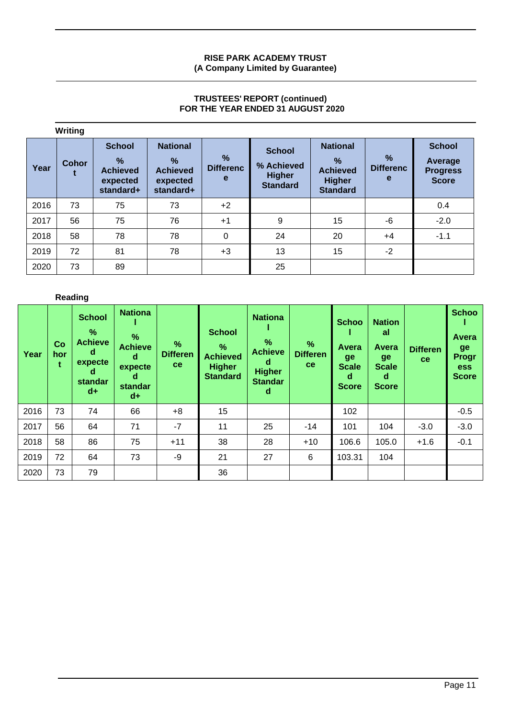# **TRUSTEES' REPORT (continued) FOR THE YEAR ENDED 31 AUGUST 2020**

|      | Writing      |                                                                   |                                                                              |                                        |                                                                 |                                                                                         |                                        |                                                             |
|------|--------------|-------------------------------------------------------------------|------------------------------------------------------------------------------|----------------------------------------|-----------------------------------------------------------------|-----------------------------------------------------------------------------------------|----------------------------------------|-------------------------------------------------------------|
| Year | <b>Cohor</b> | <b>School</b><br>$\%$<br><b>Achieved</b><br>expected<br>standard+ | <b>National</b><br>$\frac{9}{6}$<br><b>Achieved</b><br>expected<br>standard+ | $\frac{0}{2}$<br><b>Differenc</b><br>e | <b>School</b><br>% Achieved<br><b>Higher</b><br><b>Standard</b> | <b>National</b><br>$\frac{9}{6}$<br><b>Achieved</b><br><b>Higher</b><br><b>Standard</b> | $\frac{9}{6}$<br><b>Differenc</b><br>e | <b>School</b><br>Average<br><b>Progress</b><br><b>Score</b> |
| 2016 | 73           | 75                                                                | 73                                                                           | $+2$                                   |                                                                 |                                                                                         |                                        | 0.4                                                         |
| 2017 | 56           | 75                                                                | 76                                                                           | $+1$                                   | 9                                                               | 15                                                                                      | -6                                     | $-2.0$                                                      |
| 2018 | 58           | 78                                                                | 78                                                                           | 0                                      | 24                                                              | 20                                                                                      | $+4$                                   | $-1.1$                                                      |
| 2019 | 72           | 81                                                                | 78                                                                           | $+3$                                   | 13                                                              | 15                                                                                      | $-2$                                   |                                                             |
| 2020 | 73           | 89                                                                |                                                                              |                                        | 25                                                              |                                                                                         |                                        |                                                             |

# **Reading**

| Year | Co<br>hor<br>t | <b>School</b><br>$\%$<br><b>Achieve</b><br>d<br>expecte<br>d<br>standar<br>$d+$ | <b>Nationa</b><br>%<br><b>Achieve</b><br>d<br>expecte<br>d<br>standar<br>$d+$ | $\frac{9}{6}$<br><b>Differen</b><br>ce. | <b>School</b><br>$\%$<br><b>Achieved</b><br><b>Higher</b><br><b>Standard</b> | <b>Nationa</b><br>$\%$<br><b>Achieve</b><br>d<br><b>Higher</b><br><b>Standar</b><br>d | $\%$<br><b>Differen</b><br><sub>ce</sub> | <b>Schoo</b><br>Avera<br>ge<br><b>Scale</b><br>d<br><b>Score</b> | <b>Nation</b><br>al<br>Avera<br>ge<br><b>Scale</b><br>d<br><b>Score</b> | <b>Differen</b><br>ce | <b>Schoo</b><br>Avera<br>ge<br>Progr<br>ess<br><b>Score</b> |
|------|----------------|---------------------------------------------------------------------------------|-------------------------------------------------------------------------------|-----------------------------------------|------------------------------------------------------------------------------|---------------------------------------------------------------------------------------|------------------------------------------|------------------------------------------------------------------|-------------------------------------------------------------------------|-----------------------|-------------------------------------------------------------|
| 2016 | 73             | 74                                                                              | 66                                                                            | $+8$                                    | 15                                                                           |                                                                                       |                                          | 102                                                              |                                                                         |                       | $-0.5$                                                      |
| 2017 | 56             | 64                                                                              | 71                                                                            | $-7$                                    | 11                                                                           | 25                                                                                    | $-14$                                    | 101                                                              | 104                                                                     | $-3.0$                | $-3.0$                                                      |
| 2018 | 58             | 86                                                                              | 75                                                                            | $+11$                                   | 38                                                                           | 28                                                                                    | $+10$                                    | 106.6                                                            | 105.0                                                                   | $+1.6$                | $-0.1$                                                      |
| 2019 | 72             | 64                                                                              | 73                                                                            | -9                                      | 21                                                                           | 27                                                                                    | 6                                        | 103.31                                                           | 104                                                                     |                       |                                                             |
| 2020 | 73             | 79                                                                              |                                                                               |                                         | 36                                                                           |                                                                                       |                                          |                                                                  |                                                                         |                       |                                                             |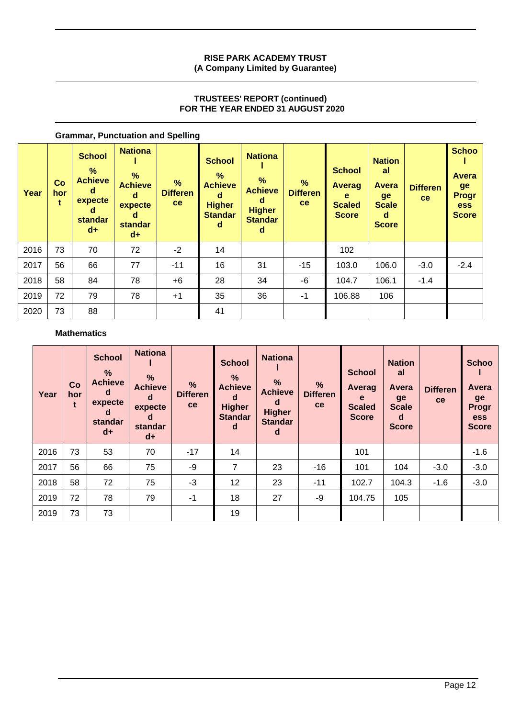# **TRUSTEES' REPORT (continued) FOR THE YEAR ENDED 31 AUGUST 2020**

| Year | Co<br>hor<br>t | <b>School</b><br>%<br><b>Achieve</b><br>d<br>expecte<br>d<br>standar<br>$d+$ | <b>Nationa</b><br>%<br><b>Achieve</b><br>d<br>expecte<br>d<br><b>standar</b><br>$d+$ | $\%$<br><b>Differen</b><br>ce | <b>School</b><br>$\%$<br><b>Achieve</b><br>d<br><b>Higher</b><br><b>Standar</b><br>d | <b>Nationa</b><br>%<br><b>Achieve</b><br>d<br><b>Higher</b><br><b>Standar</b><br>d | %<br><b>Differen</b><br>ce | <b>School</b><br><b>Averag</b><br>e<br><b>Scaled</b><br><b>Score</b> | <b>Nation</b><br>al<br><b>Avera</b><br>ge<br><b>Scale</b><br>d<br><b>Score</b> | <b>Differen</b><br>ce | <b>Schoo</b><br><b>Avera</b><br>ge<br><b>Progr</b><br><b>ess</b><br><b>Score</b> |
|------|----------------|------------------------------------------------------------------------------|--------------------------------------------------------------------------------------|-------------------------------|--------------------------------------------------------------------------------------|------------------------------------------------------------------------------------|----------------------------|----------------------------------------------------------------------|--------------------------------------------------------------------------------|-----------------------|----------------------------------------------------------------------------------|
| 2016 | 73             | 70                                                                           | 72                                                                                   | $-2$                          | 14                                                                                   |                                                                                    |                            | 102                                                                  |                                                                                |                       |                                                                                  |
| 2017 | 56             | 66                                                                           | 77                                                                                   | $-11$                         | 16                                                                                   | 31                                                                                 | $-15$                      | 103.0                                                                | 106.0                                                                          | $-3.0$                | $-2.4$                                                                           |
| 2018 | 58             | 84                                                                           | 78                                                                                   | $+6$                          | 28                                                                                   | 34                                                                                 | -6                         | 104.7                                                                | 106.1                                                                          | $-1.4$                |                                                                                  |
| 2019 | 72             | 79                                                                           | 78                                                                                   | $+1$                          | 35                                                                                   | 36                                                                                 | $-1$                       | 106.88                                                               | 106                                                                            |                       |                                                                                  |
| 2020 | 73             | 88                                                                           |                                                                                      |                               | 41                                                                                   |                                                                                    |                            |                                                                      |                                                                                |                       |                                                                                  |

# **Grammar, Punctuation and Spelling**

### **Mathematics**

| Year | Co<br>hor | <b>School</b><br>%<br><b>Achieve</b><br>d<br>expecte<br>d<br>standar<br>$d+$ | <b>Nationa</b><br>%<br><b>Achieve</b><br>d<br>expecte<br>d<br>standar<br>$d+$ | %<br><b>Differen</b><br>ce | <b>School</b><br>%<br><b>Achieve</b><br>d<br><b>Higher</b><br><b>Standar</b><br>d | <b>Nationa</b><br>$\frac{9}{6}$<br><b>Achieve</b><br>d<br><b>Higher</b><br><b>Standar</b><br>d | $\frac{9}{6}$<br><b>Differen</b><br>ce | <b>School</b><br><b>Averag</b><br>e<br><b>Scaled</b><br><b>Score</b> | <b>Nation</b><br>al<br>Avera<br>ge<br><b>Scale</b><br>d<br><b>Score</b> | <b>Differen</b><br>ce | <b>Schoo</b><br>Avera<br>ge<br>Progr<br><b>ess</b><br><b>Score</b> |
|------|-----------|------------------------------------------------------------------------------|-------------------------------------------------------------------------------|----------------------------|-----------------------------------------------------------------------------------|------------------------------------------------------------------------------------------------|----------------------------------------|----------------------------------------------------------------------|-------------------------------------------------------------------------|-----------------------|--------------------------------------------------------------------|
| 2016 | 73        | 53                                                                           | 70                                                                            | $-17$                      | 14                                                                                |                                                                                                |                                        | 101                                                                  |                                                                         |                       | $-1.6$                                                             |
| 2017 | 56        | 66                                                                           | 75                                                                            | -9                         | 7                                                                                 | 23                                                                                             | $-16$                                  | 101                                                                  | 104                                                                     | $-3.0$                | $-3.0$                                                             |
| 2018 | 58        | 72                                                                           | 75                                                                            | $-3$                       | 12                                                                                | 23                                                                                             | $-11$                                  | 102.7                                                                | 104.3                                                                   | $-1.6$                | $-3.0$                                                             |
| 2019 | 72        | 78                                                                           | 79                                                                            | $-1$                       | 18                                                                                | 27                                                                                             | -9                                     | 104.75                                                               | 105                                                                     |                       |                                                                    |
| 2019 | 73        | 73                                                                           |                                                                               |                            | 19                                                                                |                                                                                                |                                        |                                                                      |                                                                         |                       |                                                                    |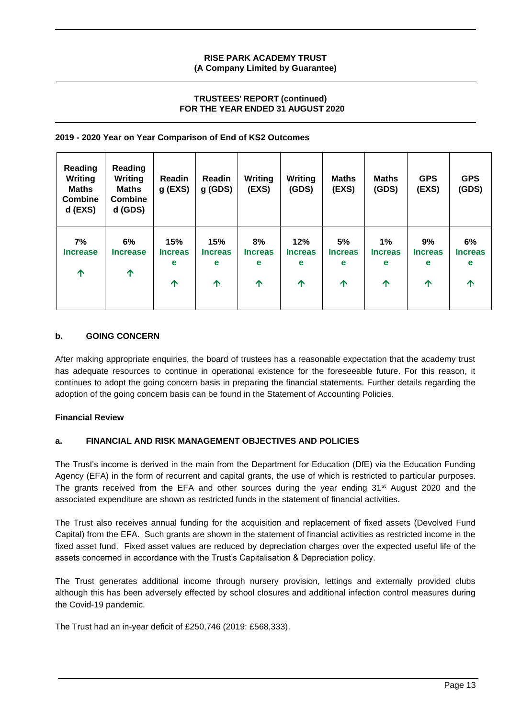# **TRUSTEES' REPORT (continued) FOR THE YEAR ENDED 31 AUGUST 2020**

### **2019 - 2020 Year on Year Comparison of End of KS2 Outcomes**

| Reading<br>Writing<br><b>Maths</b><br><b>Combine</b><br>$d$ (EXS) | Reading<br><b>Writing</b><br><b>Maths</b><br><b>Combine</b><br>d (GDS) | Readin<br>$g$ (EXS)             | Readin<br>$g$ (GDS)             | Writing<br>(EXS)                        | Writing<br>(GDS)                               | <b>Maths</b><br>(EXS)          | <b>Maths</b><br>(GDS)                      | <b>GPS</b><br>(EXS)            | <b>GPS</b><br>(GDS)                      |
|-------------------------------------------------------------------|------------------------------------------------------------------------|---------------------------------|---------------------------------|-----------------------------------------|------------------------------------------------|--------------------------------|--------------------------------------------|--------------------------------|------------------------------------------|
| 7%<br><b>Increase</b><br>个                                        | 6%<br><b>Increase</b><br>↑                                             | 15%<br><b>Increas</b><br>e<br>个 | 15%<br><b>Increas</b><br>e<br>个 | 8%<br><b>Increas</b><br>e<br>$\uparrow$ | 12%<br><b>Increas</b><br>е<br>$\hat{\Upsilon}$ | 5%<br><b>Increas</b><br>e<br>个 | $1\%$<br><b>Increas</b><br>е<br>$\uparrow$ | 9%<br><b>Increas</b><br>e<br>↑ | 6%<br><b>Increas</b><br>e<br>$\bigwedge$ |

# **b. GOING CONCERN**

After making appropriate enquiries, the board of trustees has a reasonable expectation that the academy trust has adequate resources to continue in operational existence for the foreseeable future. For this reason, it continues to adopt the going concern basis in preparing the financial statements. Further details regarding the adoption of the going concern basis can be found in the Statement of Accounting Policies.

### **Financial Review**

# **a. FINANCIAL AND RISK MANAGEMENT OBJECTIVES AND POLICIES**

The Trust's income is derived in the main from the Department for Education (DfE) via the Education Funding Agency (EFA) in the form of recurrent and capital grants, the use of which is restricted to particular purposes. The grants received from the EFA and other sources during the year ending  $31<sup>st</sup>$  August 2020 and the associated expenditure are shown as restricted funds in the statement of financial activities.

The Trust also receives annual funding for the acquisition and replacement of fixed assets (Devolved Fund Capital) from the EFA. Such grants are shown in the statement of financial activities as restricted income in the fixed asset fund. Fixed asset values are reduced by depreciation charges over the expected useful life of the assets concerned in accordance with the Trust's Capitalisation & Depreciation policy.

The Trust generates additional income through nursery provision, lettings and externally provided clubs although this has been adversely effected by school closures and additional infection control measures during the Covid-19 pandemic.

The Trust had an in-year deficit of £250,746 (2019: £568,333).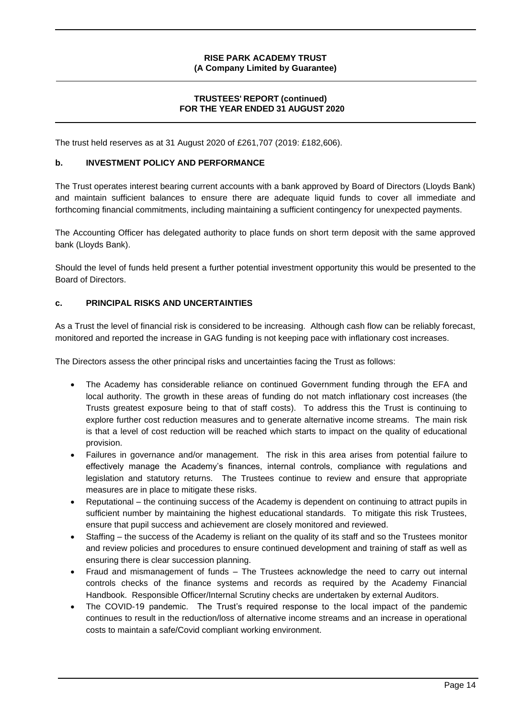# **TRUSTEES' REPORT (continued) FOR THE YEAR ENDED 31 AUGUST 2020**

The trust held reserves as at 31 August 2020 of £261,707 (2019: £182,606).

#### **b. INVESTMENT POLICY AND PERFORMANCE**

The Trust operates interest bearing current accounts with a bank approved by Board of Directors (Lloyds Bank) and maintain sufficient balances to ensure there are adequate liquid funds to cover all immediate and forthcoming financial commitments, including maintaining a sufficient contingency for unexpected payments.

The Accounting Officer has delegated authority to place funds on short term deposit with the same approved bank (Lloyds Bank).

Should the level of funds held present a further potential investment opportunity this would be presented to the Board of Directors.

#### **c. PRINCIPAL RISKS AND UNCERTAINTIES**

As a Trust the level of financial risk is considered to be increasing. Although cash flow can be reliably forecast, monitored and reported the increase in GAG funding is not keeping pace with inflationary cost increases.

The Directors assess the other principal risks and uncertainties facing the Trust as follows:

- The Academy has considerable reliance on continued Government funding through the EFA and local authority. The growth in these areas of funding do not match inflationary cost increases (the Trusts greatest exposure being to that of staff costs). To address this the Trust is continuing to explore further cost reduction measures and to generate alternative income streams. The main risk is that a level of cost reduction will be reached which starts to impact on the quality of educational provision.
- Failures in governance and/or management. The risk in this area arises from potential failure to effectively manage the Academy's finances, internal controls, compliance with regulations and legislation and statutory returns. The Trustees continue to review and ensure that appropriate measures are in place to mitigate these risks.
- Reputational the continuing success of the Academy is dependent on continuing to attract pupils in sufficient number by maintaining the highest educational standards. To mitigate this risk Trustees, ensure that pupil success and achievement are closely monitored and reviewed.
- Staffing the success of the Academy is reliant on the quality of its staff and so the Trustees monitor and review policies and procedures to ensure continued development and training of staff as well as ensuring there is clear succession planning.
- Fraud and mismanagement of funds The Trustees acknowledge the need to carry out internal controls checks of the finance systems and records as required by the Academy Financial Handbook. Responsible Officer/Internal Scrutiny checks are undertaken by external Auditors.
- The COVID-19 pandemic. The Trust's required response to the local impact of the pandemic continues to result in the reduction/loss of alternative income streams and an increase in operational costs to maintain a safe/Covid compliant working environment.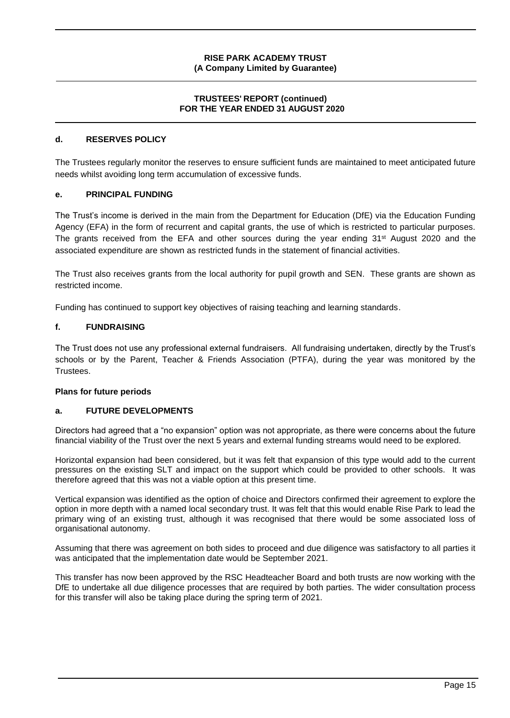# **TRUSTEES' REPORT (continued) FOR THE YEAR ENDED 31 AUGUST 2020**

### **d. RESERVES POLICY**

The Trustees regularly monitor the reserves to ensure sufficient funds are maintained to meet anticipated future needs whilst avoiding long term accumulation of excessive funds.

#### **e. PRINCIPAL FUNDING**

The Trust's income is derived in the main from the Department for Education (DfE) via the Education Funding Agency (EFA) in the form of recurrent and capital grants, the use of which is restricted to particular purposes. The grants received from the EFA and other sources during the year ending 31<sup>st</sup> August 2020 and the associated expenditure are shown as restricted funds in the statement of financial activities.

The Trust also receives grants from the local authority for pupil growth and SEN. These grants are shown as restricted income.

Funding has continued to support key objectives of raising teaching and learning standards.

#### **f. FUNDRAISING**

The Trust does not use any professional external fundraisers. All fundraising undertaken, directly by the Trust's schools or by the Parent, Teacher & Friends Association (PTFA), during the year was monitored by the Trustees.

#### **Plans for future periods**

### **a. FUTURE DEVELOPMENTS**

Directors had agreed that a "no expansion" option was not appropriate, as there were concerns about the future financial viability of the Trust over the next 5 years and external funding streams would need to be explored.

Horizontal expansion had been considered, but it was felt that expansion of this type would add to the current pressures on the existing SLT and impact on the support which could be provided to other schools. It was therefore agreed that this was not a viable option at this present time.

Vertical expansion was identified as the option of choice and Directors confirmed their agreement to explore the option in more depth with a named local secondary trust. It was felt that this would enable Rise Park to lead the primary wing of an existing trust, although it was recognised that there would be some associated loss of organisational autonomy.

Assuming that there was agreement on both sides to proceed and due diligence was satisfactory to all parties it was anticipated that the implementation date would be September 2021.

This transfer has now been approved by the RSC Headteacher Board and both trusts are now working with the DfE to undertake all due diligence processes that are required by both parties. The wider consultation process for this transfer will also be taking place during the spring term of 2021.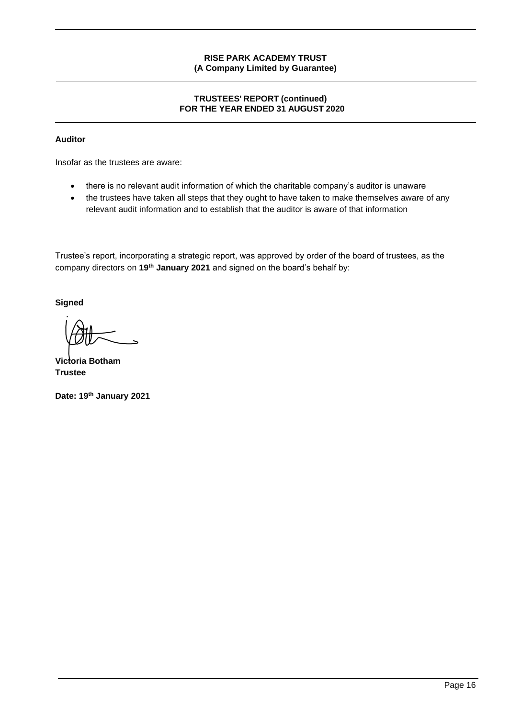# **TRUSTEES' REPORT (continued) FOR THE YEAR ENDED 31 AUGUST 2020**

# **Auditor**

Insofar as the trustees are aware:

- there is no relevant audit information of which the charitable company's auditor is unaware
- the trustees have taken all steps that they ought to have taken to make themselves aware of any relevant audit information and to establish that the auditor is aware of that information

Trustee's report, incorporating a strategic report, was approved by order of the board of trustees, as the company directors on **19th January 2021** and signed on the board's behalf by:

**Signed**

**Victoria Botham Trustee**

**Date: 19th January 2021**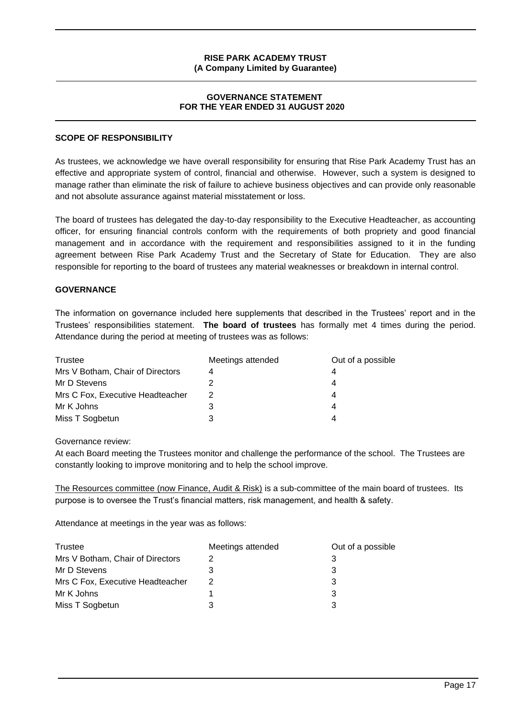#### **GOVERNANCE STATEMENT FOR THE YEAR ENDED 31 AUGUST 2020**

#### **SCOPE OF RESPONSIBILITY**

As trustees, we acknowledge we have overall responsibility for ensuring that Rise Park Academy Trust has an effective and appropriate system of control, financial and otherwise. However, such a system is designed to manage rather than eliminate the risk of failure to achieve business objectives and can provide only reasonable and not absolute assurance against material misstatement or loss.

The board of trustees has delegated the day-to-day responsibility to the Executive Headteacher, as accounting officer, for ensuring financial controls conform with the requirements of both propriety and good financial management and in accordance with the requirement and responsibilities assigned to it in the funding agreement between Rise Park Academy Trust and the Secretary of State for Education. They are also responsible for reporting to the board of trustees any material weaknesses or breakdown in internal control.

### **GOVERNANCE**

The information on governance included here supplements that described in the Trustees' report and in the Trustees' responsibilities statement. **The board of trustees** has formally met 4 times during the period. Attendance during the period at meeting of trustees was as follows:

| Trustee                          | Meetings attended | Out of a possible |
|----------------------------------|-------------------|-------------------|
| Mrs V Botham, Chair of Directors | 4                 |                   |
| Mr D Stevens                     |                   | 4                 |
| Mrs C Fox, Executive Headteacher | 2                 | 4                 |
| Mr K Johns                       | 3                 | 4                 |
| Miss T Sogbetun                  |                   |                   |

Governance review:

At each Board meeting the Trustees monitor and challenge the performance of the school. The Trustees are constantly looking to improve monitoring and to help the school improve.

The Resources committee (now Finance, Audit & Risk) is a sub-committee of the main board of trustees. Its purpose is to oversee the Trust's financial matters, risk management, and health & safety.

Attendance at meetings in the year was as follows:

| Trustee                          | Meetings attended | Out of a possible |
|----------------------------------|-------------------|-------------------|
| Mrs V Botham, Chair of Directors |                   |                   |
| Mr D Stevens                     |                   |                   |
| Mrs C Fox, Executive Headteacher |                   |                   |
| Mr K Johns                       |                   |                   |
| Miss T Sogbetun                  |                   |                   |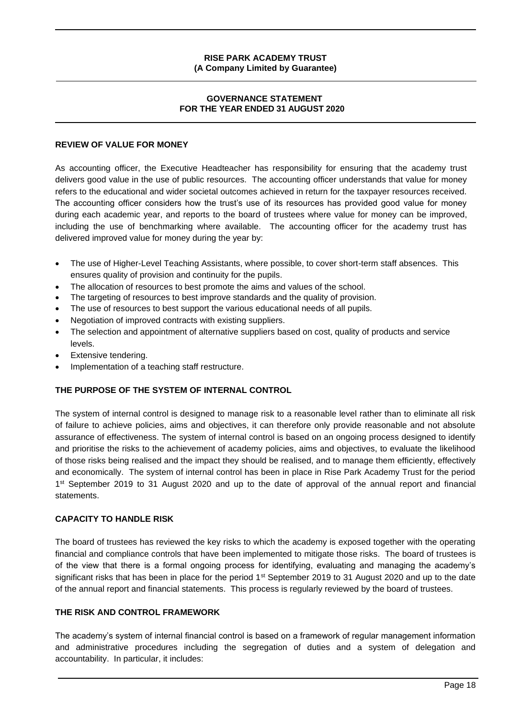# **GOVERNANCE STATEMENT FOR THE YEAR ENDED 31 AUGUST 2020**

### **REVIEW OF VALUE FOR MONEY**

As accounting officer, the Executive Headteacher has responsibility for ensuring that the academy trust delivers good value in the use of public resources. The accounting officer understands that value for money refers to the educational and wider societal outcomes achieved in return for the taxpayer resources received. The accounting officer considers how the trust's use of its resources has provided good value for money during each academic year, and reports to the board of trustees where value for money can be improved, including the use of benchmarking where available. The accounting officer for the academy trust has delivered improved value for money during the year by:

- The use of Higher-Level Teaching Assistants, where possible, to cover short-term staff absences. This ensures quality of provision and continuity for the pupils.
- The allocation of resources to best promote the aims and values of the school.
- The targeting of resources to best improve standards and the quality of provision.
- The use of resources to best support the various educational needs of all pupils.
- Negotiation of improved contracts with existing suppliers.
- The selection and appointment of alternative suppliers based on cost, quality of products and service levels.
- Extensive tendering.
- Implementation of a teaching staff restructure.

# **THE PURPOSE OF THE SYSTEM OF INTERNAL CONTROL**

The system of internal control is designed to manage risk to a reasonable level rather than to eliminate all risk of failure to achieve policies, aims and objectives, it can therefore only provide reasonable and not absolute assurance of effectiveness. The system of internal control is based on an ongoing process designed to identify and prioritise the risks to the achievement of academy policies, aims and objectives, to evaluate the likelihood of those risks being realised and the impact they should be realised, and to manage them efficiently, effectively and economically. The system of internal control has been in place in Rise Park Academy Trust for the period 1<sup>st</sup> September 2019 to 31 August 2020 and up to the date of approval of the annual report and financial statements.

## **CAPACITY TO HANDLE RISK**

The board of trustees has reviewed the key risks to which the academy is exposed together with the operating financial and compliance controls that have been implemented to mitigate those risks. The board of trustees is of the view that there is a formal ongoing process for identifying, evaluating and managing the academy's significant risks that has been in place for the period 1<sup>st</sup> September 2019 to 31 August 2020 and up to the date of the annual report and financial statements. This process is regularly reviewed by the board of trustees.

## **THE RISK AND CONTROL FRAMEWORK**

The academy's system of internal financial control is based on a framework of regular management information and administrative procedures including the segregation of duties and a system of delegation and accountability. In particular, it includes: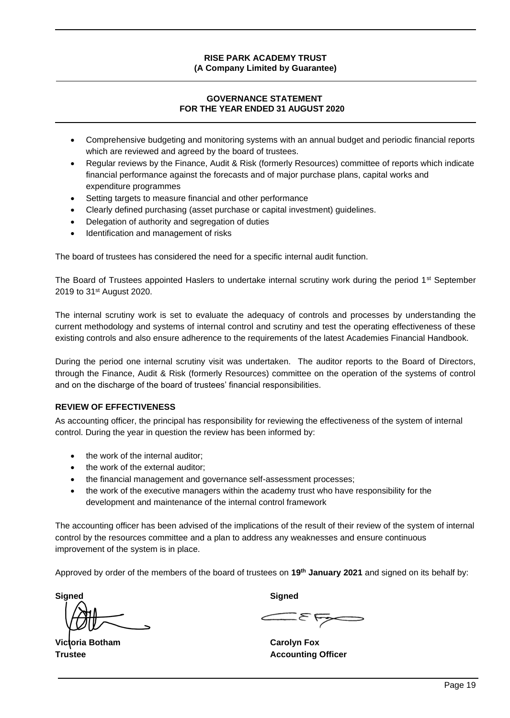# **GOVERNANCE STATEMENT FOR THE YEAR ENDED 31 AUGUST 2020**

- Comprehensive budgeting and monitoring systems with an annual budget and periodic financial reports which are reviewed and agreed by the board of trustees.
- Regular reviews by the Finance, Audit & Risk (formerly Resources) committee of reports which indicate financial performance against the forecasts and of major purchase plans, capital works and expenditure programmes
- Setting targets to measure financial and other performance
- Clearly defined purchasing (asset purchase or capital investment) guidelines.
- Delegation of authority and segregation of duties
- Identification and management of risks

The board of trustees has considered the need for a specific internal audit function.

The Board of Trustees appointed Haslers to undertake internal scrutiny work during the period 1<sup>st</sup> September 2019 to 31st August 2020.

The internal scrutiny work is set to evaluate the adequacy of controls and processes by understanding the current methodology and systems of internal control and scrutiny and test the operating effectiveness of these existing controls and also ensure adherence to the requirements of the latest Academies Financial Handbook.

During the period one internal scrutiny visit was undertaken. The auditor reports to the Board of Directors, through the Finance, Audit & Risk (formerly Resources) committee on the operation of the systems of control and on the discharge of the board of trustees' financial responsibilities.

### **REVIEW OF EFFECTIVENESS**

As accounting officer, the principal has responsibility for reviewing the effectiveness of the system of internal control. During the year in question the review has been informed by:

- the work of the internal auditor;
- the work of the external auditor;
- the financial management and governance self-assessment processes;
- the work of the executive managers within the academy trust who have responsibility for the development and maintenance of the internal control framework

The accounting officer has been advised of the implications of the result of their review of the system of internal control by the resources committee and a plan to address any weaknesses and ensure continuous improvement of the system is in place.

Approved by order of the members of the board of trustees on **19th January 2021** and signed on its behalf by:

**Signed Signed**

**Victoria Botham Carolyn Fox**

**Trustee <b>Accounting Officer Accounting Officer**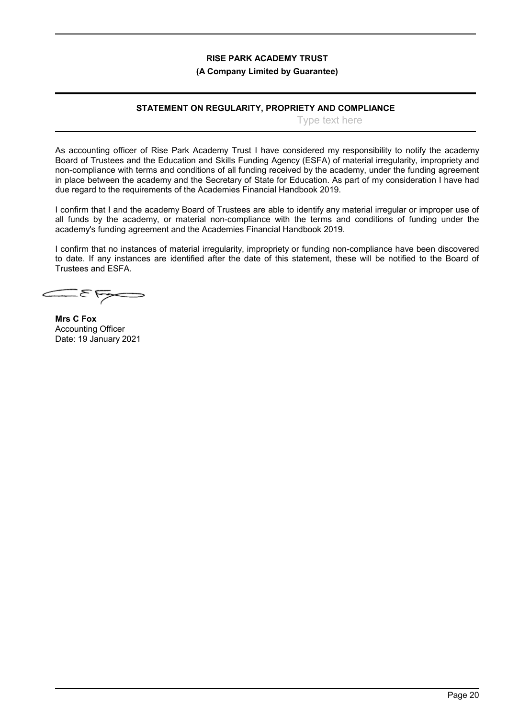#### **(A Company Limited by Guarantee)**

### **STATEMENT ON REGULARITY, PROPRIETY AND COMPLIANCE**

Type text here

As accounting officer of Rise Park Academy Trust I have considered my responsibility to notify the academy Board of Trustees and the Education and Skills Funding Agency (ESFA) of material irregularity, impropriety and non-compliance with terms and conditions of all funding received by the academy, under the funding agreement in place between the academy and the Secretary of State for Education. As part of my consideration I have had due regard to the requirements of the Academies Financial Handbook 2019.

I confirm that I and the academy Board of Trustees are able to identify any material irregular or improper use of all funds by the academy, or material non-compliance with the terms and conditions of funding under the academy's funding agreement and the Academies Financial Handbook 2019.

I confirm that no instances of material irregularity, impropriety or funding non-compliance have been discovered to date. If any instances are identified after the date of this statement, these will be notified to the Board of Trustees and ESFA.

**Mrs C Fox** Accounting Officer Date: 19 January 2021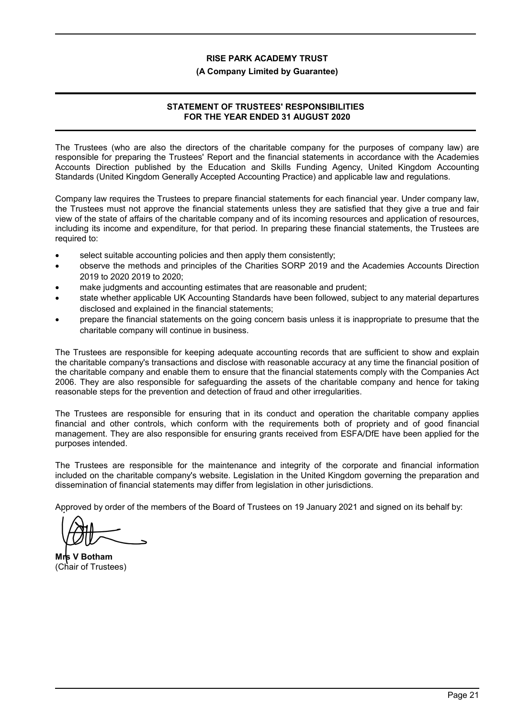#### **(A Company Limited by Guarantee)**

# **STATEMENT OF TRUSTEES' RESPONSIBILITIES FOR THE YEAR ENDED 31 AUGUST 2020**

The Trustees (who are also the directors of the charitable company for the purposes of company law) are responsible for preparing the Trustees' Report and the financial statements in accordance with the Academies Accounts Direction published by the Education and Skills Funding Agency, United Kingdom Accounting Standards (United Kingdom Generally Accepted Accounting Practice) and applicable law and regulations.

Company law requires the Trustees to prepare financial statements for each financial year. Under company law, the Trustees must not approve the financial statements unless they are satisfied that they give a true and fair view of the state of affairs of the charitable company and of its incoming resources and application of resources, including its income and expenditure, for that period. In preparing these financial statements, the Trustees are required to:

- select suitable accounting policies and then apply them consistently;
- observe the methods and principles of the Charities SORP 2019 and the Academies Accounts Direction 2019 to 2020 2019 to 2020;
- make judgments and accounting estimates that are reasonable and prudent;
- state whether applicable UK Accounting Standards have been followed, subject to any material departures disclosed and explained in the financial statements;
- prepare the financial statements on the going concern basis unless it is inappropriate to presume that the charitable company will continue in business.

The Trustees are responsible for keeping adequate accounting records that are sufficient to show and explain the charitable company's transactions and disclose with reasonable accuracy at any time the financial position of the charitable company and enable them to ensure that the financial statements comply with the Companies Act 2006. They are also responsible for safeguarding the assets of the charitable company and hence for taking reasonable steps for the prevention and detection of fraud and other irregularities.

The Trustees are responsible for ensuring that in its conduct and operation the charitable company applies financial and other controls, which conform with the requirements both of propriety and of good financial management. They are also responsible for ensuring grants received from ESFA/DfE have been applied for the purposes intended.

The Trustees are responsible for the maintenance and integrity of the corporate and financial information included on the charitable company's website. Legislation in the United Kingdom governing the preparation and dissemination of financial statements may differ from legislation in other jurisdictions.

Approved by order of the members of the Board of Trustees on 19 January 2021 and signed on its behalf by:

**Mrs V Botham** (Chair of Trustees)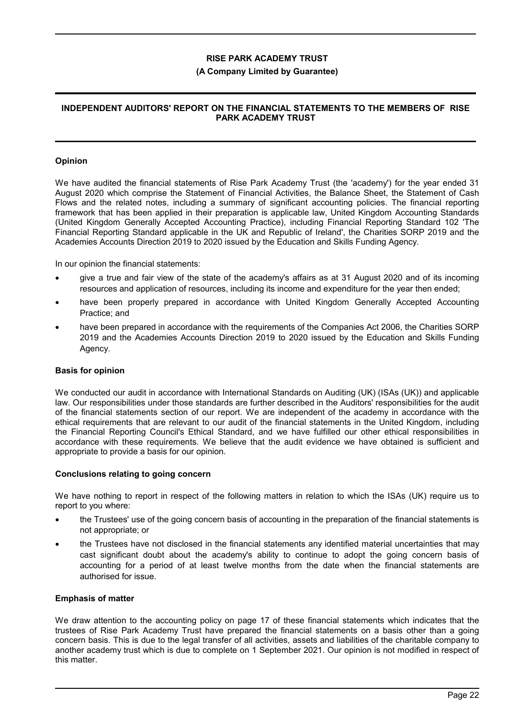#### **(A Company Limited by Guarantee)**

#### **INDEPENDENT AUDITORS' REPORT ON THE FINANCIAL STATEMENTS TO THE MEMBERS OF RISE PARK ACADEMY TRUST**

#### **Opinion**

We have audited the financial statements of Rise Park Academy Trust (the 'academy') for the year ended 31 August 2020 which comprise the Statement of Financial Activities, the Balance Sheet, the Statement of Cash Flows and the related notes, including a summary of significant accounting policies. The financial reporting framework that has been applied in their preparation is applicable law, United Kingdom Accounting Standards (United Kingdom Generally Accepted Accounting Practice), including Financial Reporting Standard 102 'The Financial Reporting Standard applicable in the UK and Republic of Ireland', the Charities SORP 2019 and the Academies Accounts Direction 2019 to 2020 issued by the Education and Skills Funding Agency.

In our opinion the financial statements:

- give a true and fair view of the state of the academy's affairs as at 31 August 2020 and of its incoming resources and application of resources, including its income and expenditure for the year then ended;
- have been properly prepared in accordance with United Kingdom Generally Accepted Accounting Practice; and
- have been prepared in accordance with the requirements of the Companies Act 2006, the Charities SORP 2019 and the Academies Accounts Direction 2019 to 2020 issued by the Education and Skills Funding Agency.

#### **Basis for opinion**

We conducted our audit in accordance with International Standards on Auditing (UK) (ISAs (UK)) and applicable law. Our responsibilities under those standards are further described in the Auditors' responsibilities for the audit of the financial statements section of our report. We are independent of the academy in accordance with the ethical requirements that are relevant to our audit of the financial statements in the United Kingdom, including the Financial Reporting Council's Ethical Standard, and we have fulfilled our other ethical responsibilities in accordance with these requirements. We believe that the audit evidence we have obtained is sufficient and appropriate to provide a basis for our opinion.

#### **Conclusions relating to going concern**

We have nothing to report in respect of the following matters in relation to which the ISAs (UK) require us to report to you where:

- the Trustees' use of the going concern basis of accounting in the preparation of the financial statements is not appropriate; or
- the Trustees have not disclosed in the financial statements any identified material uncertainties that may cast significant doubt about the academy's ability to continue to adopt the going concern basis of accounting for a period of at least twelve months from the date when the financial statements are authorised for issue.

#### **Emphasis of matter**

We draw attention to the accounting policy on page 17 of these financial statements which indicates that the trustees of Rise Park Academy Trust have prepared the financial statements on a basis other than a going concern basis. This is due to the legal transfer of all activities, assets and liabilities of the charitable company to another academy trust which is due to complete on 1 September 2021. Our opinion is not modified in respect of this matter.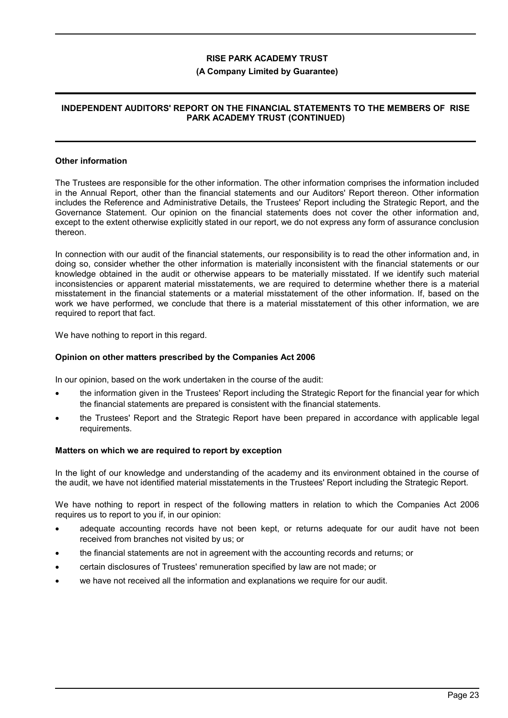#### **(A Company Limited by Guarantee)**

### **INDEPENDENT AUDITORS' REPORT ON THE FINANCIAL STATEMENTS TO THE MEMBERS OF RISE PARK ACADEMY TRUST (CONTINUED)**

#### **Other information**

The Trustees are responsible for the other information. The other information comprises the information included in the Annual Report, other than the financial statements and our Auditors' Report thereon. Other information includes the Reference and Administrative Details, the Trustees' Report including the Strategic Report, and the Governance Statement. Our opinion on the financial statements does not cover the other information and, except to the extent otherwise explicitly stated in our report, we do not express any form of assurance conclusion thereon.

In connection with our audit of the financial statements, our responsibility is to read the other information and, in doing so, consider whether the other information is materially inconsistent with the financial statements or our knowledge obtained in the audit or otherwise appears to be materially misstated. If we identify such material inconsistencies or apparent material misstatements, we are required to determine whether there is a material misstatement in the financial statements or a material misstatement of the other information. If, based on the work we have performed, we conclude that there is a material misstatement of this other information, we are required to report that fact.

We have nothing to report in this regard.

#### **Opinion on other matters prescribed by the Companies Act 2006**

In our opinion, based on the work undertaken in the course of the audit:

- the information given in the Trustees' Report including the Strategic Report for the financial year for which the financial statements are prepared is consistent with the financial statements.
- the Trustees' Report and the Strategic Report have been prepared in accordance with applicable legal requirements.

#### **Matters on which we are required to report by exception**

In the light of our knowledge and understanding of the academy and its environment obtained in the course of the audit, we have not identified material misstatements in the Trustees' Report including the Strategic Report.

We have nothing to report in respect of the following matters in relation to which the Companies Act 2006 requires us to report to you if, in our opinion:

- adequate accounting records have not been kept, or returns adequate for our audit have not been received from branches not visited by us; or
- the financial statements are not in agreement with the accounting records and returns; or
- certain disclosures of Trustees' remuneration specified by law are not made; or
- we have not received all the information and explanations we require for our audit.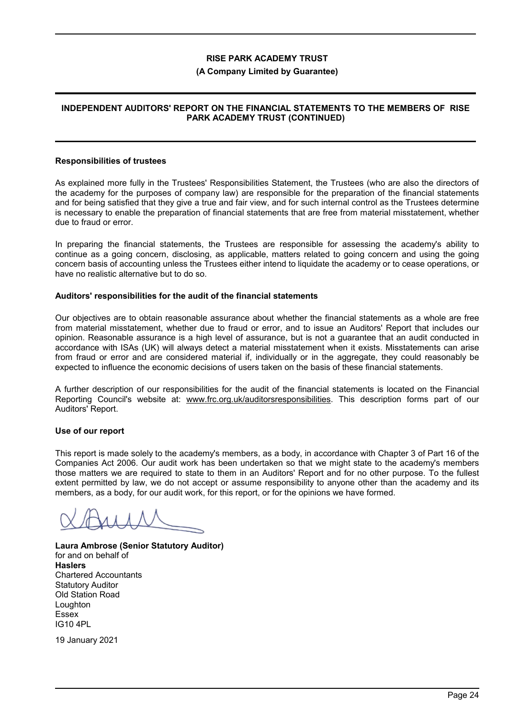#### **(A Company Limited by Guarantee)**

# **INDEPENDENT AUDITORS' REPORT ON THE FINANCIAL STATEMENTS TO THE MEMBERS OF RISE PARK ACADEMY TRUST (CONTINUED)**

#### **Responsibilities of trustees**

As explained more fully in the Trustees' Responsibilities Statement, the Trustees (who are also the directors of the academy for the purposes of company law) are responsible for the preparation of the financial statements and for being satisfied that they give a true and fair view, and for such internal control as the Trustees determine is necessary to enable the preparation of financial statements that are free from material misstatement, whether due to fraud or error.

In preparing the financial statements, the Trustees are responsible for assessing the academy's ability to continue as a going concern, disclosing, as applicable, matters related to going concern and using the going concern basis of accounting unless the Trustees either intend to liquidate the academy or to cease operations, or have no realistic alternative but to do so.

#### **Auditors' responsibilities for the audit of the financial statements**

Our objectives are to obtain reasonable assurance about whether the financial statements as a whole are free from material misstatement, whether due to fraud or error, and to issue an Auditors' Report that includes our opinion. Reasonable assurance is a high level of assurance, but is not a guarantee that an audit conducted in accordance with ISAs (UK) will always detect a material misstatement when it exists. Misstatements can arise from fraud or error and are considered material if, individually or in the aggregate, they could reasonably be expected to influence the economic decisions of users taken on the basis of these financial statements.

A further description of our responsibilities for the audit of the financial statements is located on the Financial Reporting Council's website at: www.frc.org.uk/auditorsresponsibilities. This description forms part of our Auditors' Report.

#### **Use of our report**

This report is made solely to the academy's members, as a body, in accordance with Chapter 3 of Part 16 of the Companies Act 2006. Our audit work has been undertaken so that we might state to the academy's members those matters we are required to state to them in an Auditors' Report and for no other purpose. To the fullest extent permitted by law, we do not accept or assume responsibility to anyone other than the academy and its members, as a body, for our audit work, for this report, or for the opinions we have formed.

**Laura Ambrose (Senior Statutory Auditor)** for and on behalf of **Haslers** Chartered Accountants Statutory Auditor Old Station Road Loughton Essex IG10 4PL

19 January 2021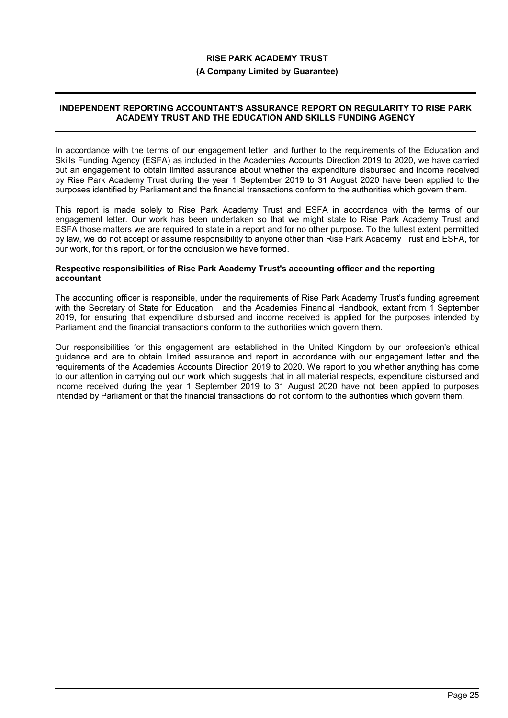#### **(A Company Limited by Guarantee)**

### **INDEPENDENT REPORTING ACCOUNTANT'S ASSURANCE REPORT ON REGULARITY TO RISE PARK ACADEMY TRUST AND THE EDUCATION AND SKILLS FUNDING AGENCY**

In accordance with the terms of our engagement letter and further to the requirements of the Education and Skills Funding Agency (ESFA) as included in the Academies Accounts Direction 2019 to 2020, we have carried out an engagement to obtain limited assurance about whether the expenditure disbursed and income received by Rise Park Academy Trust during the year 1 September 2019 to 31 August 2020 have been applied to the purposes identified by Parliament and the financial transactions conform to the authorities which govern them.

This report is made solely to Rise Park Academy Trust and ESFA in accordance with the terms of our engagement letter. Our work has been undertaken so that we might state to Rise Park Academy Trust and ESFA those matters we are required to state in a report and for no other purpose. To the fullest extent permitted by law, we do not accept or assume responsibility to anyone other than Rise Park Academy Trust and ESFA, for our work, for this report, or for the conclusion we have formed.

#### **Respective responsibilities of Rise Park Academy Trust's accounting officer and the reporting accountant**

The accounting officer is responsible, under the requirements of Rise Park Academy Trust's funding agreement with the Secretary of State for Education and the Academies Financial Handbook, extant from 1 September 2019, for ensuring that expenditure disbursed and income received is applied for the purposes intended by Parliament and the financial transactions conform to the authorities which govern them.

Our responsibilities for this engagement are established in the United Kingdom by our profession's ethical guidance and are to obtain limited assurance and report in accordance with our engagement letter and the requirements of the Academies Accounts Direction 2019 to 2020. We report to you whether anything has come to our attention in carrying out our work which suggests that in all material respects, expenditure disbursed and income received during the year 1 September 2019 to 31 August 2020 have not been applied to purposes intended by Parliament or that the financial transactions do not conform to the authorities which govern them.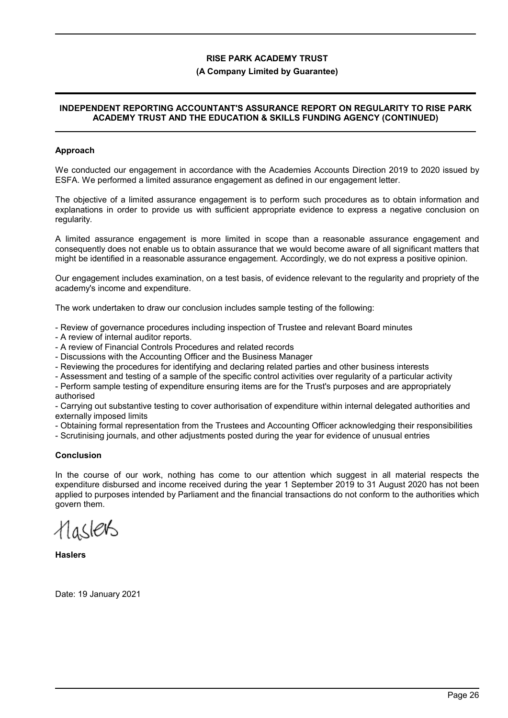#### **(A Company Limited by Guarantee)**

#### **INDEPENDENT REPORTING ACCOUNTANT'S ASSURANCE REPORT ON REGULARITY TO RISE PARK ACADEMY TRUST AND THE EDUCATION & SKILLS FUNDING AGENCY (CONTINUED)**

#### **Approach**

We conducted our engagement in accordance with the Academies Accounts Direction 2019 to 2020 issued by ESFA. We performed a limited assurance engagement as defined in our engagement letter.

The objective of a limited assurance engagement is to perform such procedures as to obtain information and explanations in order to provide us with sufficient appropriate evidence to express a negative conclusion on regularity.

A limited assurance engagement is more limited in scope than a reasonable assurance engagement and consequently does not enable us to obtain assurance that we would become aware of all significant matters that might be identified in a reasonable assurance engagement. Accordingly, we do not express a positive opinion.

Our engagement includes examination, on a test basis, of evidence relevant to the regularity and propriety of the academy's income and expenditure.

The work undertaken to draw our conclusion includes sample testing of the following:

- Review of governance procedures including inspection of Trustee and relevant Board minutes

- A review of internal auditor reports.

- A review of Financial Controls Procedures and related records

- Discussions with the Accounting Officer and the Business Manager

- Reviewing the procedures for identifying and declaring related parties and other business interests

- Assessment and testing of a sample of the specific control activities over regularity of a particular activity

- Perform sample testing of expenditure ensuring items are for the Trust's purposes and are appropriately authorised

- Carrying out substantive testing to cover authorisation of expenditure within internal delegated authorities and externally imposed limits

- Obtaining formal representation from the Trustees and Accounting Officer acknowledging their responsibilities

- Scrutinising journals, and other adjustments posted during the year for evidence of unusual entries

#### **Conclusion**

In the course of our work, nothing has come to our attention which suggest in all material respects the expenditure disbursed and income received during the year 1 September 2019 to 31 August 2020 has not been applied to purposes intended by Parliament and the financial transactions do not conform to the authorities which govern them.

Haslers

**Haslers**

Date: 19 January 2021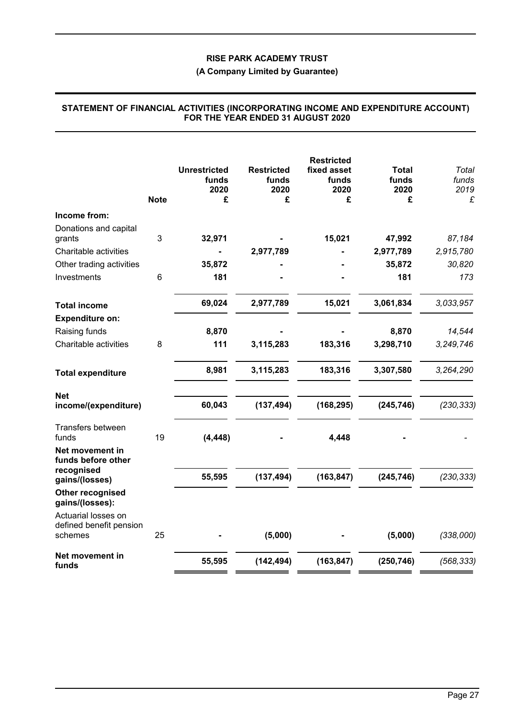# **(A Company Limited by Guarantee)**

|                                                     |             | <b>Unrestricted</b><br>funds<br>2020 | <b>Restricted</b><br>funds<br>2020 | <b>Restricted</b><br>fixed asset<br>funds<br>2020 | Total<br>funds<br>2020 | Total<br>funds<br>2019 |
|-----------------------------------------------------|-------------|--------------------------------------|------------------------------------|---------------------------------------------------|------------------------|------------------------|
|                                                     | <b>Note</b> | £                                    | £                                  | £                                                 | £                      | £                      |
| Income from:                                        |             |                                      |                                    |                                                   |                        |                        |
| Donations and capital<br>grants                     | 3           | 32,971                               |                                    | 15,021                                            | 47,992                 | 87,184                 |
| Charitable activities                               |             |                                      | 2,977,789                          |                                                   | 2,977,789              | 2,915,780              |
| Other trading activities                            |             | 35,872                               |                                    |                                                   | 35,872                 | 30,820                 |
| Investments                                         | 6           | 181                                  |                                    |                                                   | 181                    | 173                    |
| <b>Total income</b>                                 |             | 69,024                               | 2,977,789                          | 15,021                                            | 3,061,834              | 3,033,957              |
| <b>Expenditure on:</b>                              |             |                                      |                                    |                                                   |                        |                        |
| Raising funds                                       |             | 8,870                                |                                    |                                                   | 8,870                  | 14,544                 |
| Charitable activities                               | 8           | 111                                  | 3,115,283                          | 183,316                                           | 3,298,710              | 3,249,746              |
| <b>Total expenditure</b>                            |             | 8,981                                | 3,115,283                          | 183,316                                           | 3,307,580              | 3,264,290              |
| <b>Net</b><br>income/(expenditure)                  |             | 60,043                               | (137, 494)                         | (168, 295)                                        | (245, 746)             | (230, 333)             |
| Transfers between<br>funds                          | 19          | (4, 448)                             |                                    | 4,448                                             |                        |                        |
| Net movement in<br>funds before other<br>recognised |             |                                      |                                    |                                                   |                        |                        |
| gains/(losses)                                      |             | 55,595                               | (137, 494)                         | (163, 847)                                        | (245, 746)             | (230, 333)             |
| Other recognised<br>gains/(losses):                 |             |                                      |                                    |                                                   |                        |                        |
| Actuarial losses on<br>defined benefit pension      |             |                                      |                                    |                                                   |                        |                        |
| schemes                                             | 25          |                                      | (5,000)                            |                                                   | (5,000)                | (338,000)              |
| Net movement in<br>funds                            |             | 55,595                               | (142, 494)                         | (163, 847)                                        | (250, 746)             | (568, 333)             |

#### **STATEMENT OF FINANCIAL ACTIVITIES (INCORPORATING INCOME AND EXPENDITURE ACCOUNT) FOR THE YEAR ENDED 31 AUGUST 2020**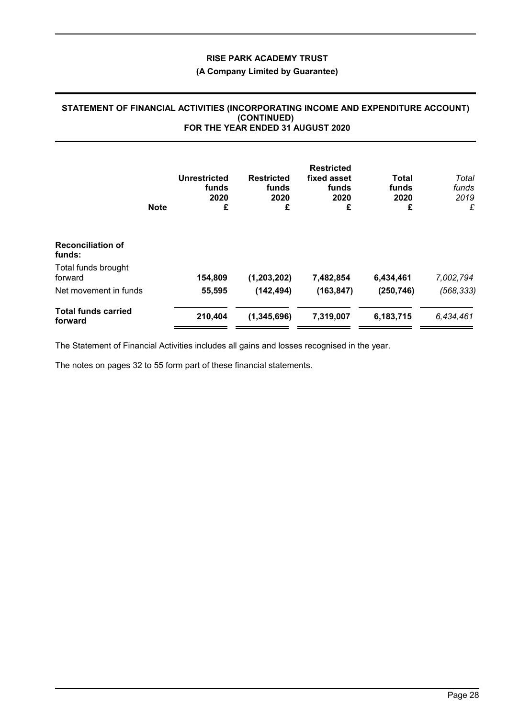# **(A Company Limited by Guarantee)**

#### **STATEMENT OF FINANCIAL ACTIVITIES (INCORPORATING INCOME AND EXPENDITURE ACCOUNT) (CONTINUED) FOR THE YEAR ENDED 31 AUGUST 2020**

|                                       | <b>Note</b> | <b>Unrestricted</b><br>funds<br>2020<br>£ | <b>Restricted</b><br>funds<br>2020<br>£ | <b>Restricted</b><br>fixed asset<br>funds<br>2020<br>£ | <b>Total</b><br>funds<br>2020<br>£ | Total<br>funds<br>2019<br>£ |
|---------------------------------------|-------------|-------------------------------------------|-----------------------------------------|--------------------------------------------------------|------------------------------------|-----------------------------|
| <b>Reconciliation of</b><br>funds:    |             |                                           |                                         |                                                        |                                    |                             |
| Total funds brought<br>forward        |             | 154,809                                   | (1,203,202)                             | 7,482,854                                              | 6,434,461                          | 7,002,794                   |
| Net movement in funds                 |             | 55,595                                    | (142, 494)                              | (163, 847)                                             | (250, 746)                         | (568, 333)                  |
| <b>Total funds carried</b><br>forward |             | 210,404                                   | (1, 345, 696)                           | 7,319,007                                              | 6,183,715                          | 6,434,461                   |

The Statement of Financial Activities includes all gains and losses recognised in the year.

The notes on pages 32 to 55 form part of these financial statements.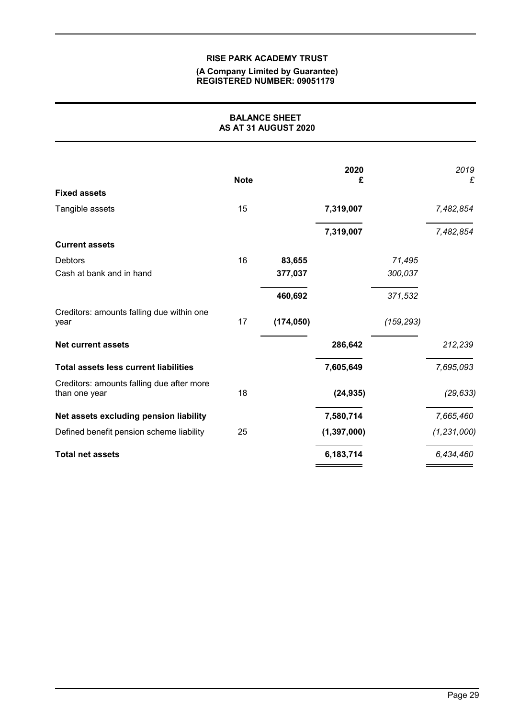#### **(A Company Limited by Guarantee) REGISTERED NUMBER: 09051179**

| <b>BALANCE SHEET</b><br>AS AT 31 AUGUST 2020               |             |            |               |            |               |
|------------------------------------------------------------|-------------|------------|---------------|------------|---------------|
|                                                            | <b>Note</b> |            | 2020<br>£     |            | 2019<br>£     |
| <b>Fixed assets</b>                                        |             |            |               |            |               |
| Tangible assets                                            | 15          |            | 7,319,007     |            | 7,482,854     |
|                                                            |             |            | 7,319,007     |            | 7,482,854     |
| <b>Current assets</b>                                      |             |            |               |            |               |
| <b>Debtors</b>                                             | 16          | 83,655     |               | 71,495     |               |
| Cash at bank and in hand                                   |             | 377,037    |               | 300,037    |               |
|                                                            |             | 460,692    |               | 371,532    |               |
| Creditors: amounts falling due within one<br>year          | 17          | (174, 050) |               | (159, 293) |               |
| <b>Net current assets</b>                                  |             |            | 286,642       |            | 212,239       |
| <b>Total assets less current liabilities</b>               |             |            | 7,605,649     |            | 7,695,093     |
| Creditors: amounts falling due after more<br>than one year | 18          |            | (24, 935)     |            | (29, 633)     |
| Net assets excluding pension liability                     |             |            | 7,580,714     |            | 7,665,460     |
| Defined benefit pension scheme liability                   | 25          |            | (1, 397, 000) |            | (1, 231, 000) |
| <b>Total net assets</b>                                    |             |            | 6,183,714     |            | 6,434,460     |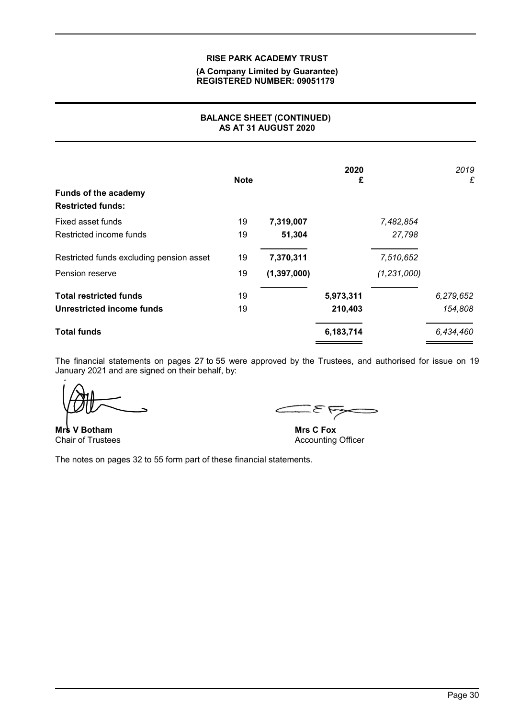#### **(A Company Limited by Guarantee) REGISTERED NUMBER: 09051179**

# **BALANCE SHEET (CONTINUED) AS AT 31 AUGUST 2020**

| <b>Funds of the academy</b><br><b>Restricted funds:</b> | <b>Note</b> |               | 2020<br>£ |               | 2019<br>£ |
|---------------------------------------------------------|-------------|---------------|-----------|---------------|-----------|
| Fixed asset funds                                       | 19          | 7,319,007     |           | 7,482,854     |           |
| Restricted income funds                                 | 19          | 51,304        |           | 27,798        |           |
| Restricted funds excluding pension asset                | 19          | 7,370,311     |           | 7,510,652     |           |
| Pension reserve                                         | 19          | (1, 397, 000) |           | (1, 231, 000) |           |
| <b>Total restricted funds</b>                           | 19          |               | 5,973,311 |               | 6,279,652 |
| Unrestricted income funds                               | 19          |               | 210,403   |               | 154,808   |
| <b>Total funds</b>                                      |             |               | 6,183,714 |               | 6,434,460 |

The financial statements on pages 27 to 55 were approved by the Trustees, and authorised for issue on 19 January 2021 and are signed on their behalf, by:

**Mrs V Botham** Chair of Trustees

ᡵ

**Mrs C Fox** Accounting Officer

The notes on pages 32 to 55 form part of these financial statements.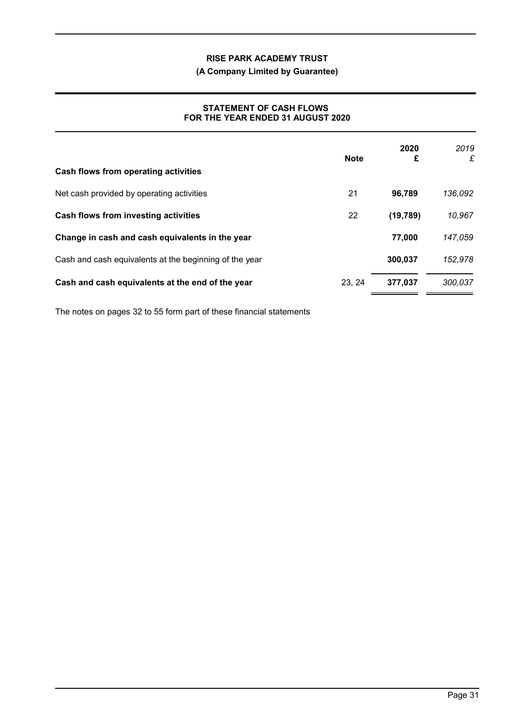# **(A Company Limited by Guarantee)**

# **STATEMENT OF CASH FLOWS FOR THE YEAR ENDED 31 AUGUST 2020**

|                                                        | <b>Note</b> | 2020<br>£ | 2019<br>£ |
|--------------------------------------------------------|-------------|-----------|-----------|
| Cash flows from operating activities                   |             |           |           |
| Net cash provided by operating activities              | 21          | 96,789    | 136,092   |
| Cash flows from investing activities                   | 22          | (19, 789) | 10,967    |
| Change in cash and cash equivalents in the year        |             | 77.000    | 147,059   |
| Cash and cash equivalents at the beginning of the year |             | 300,037   | 152,978   |
| Cash and cash equivalents at the end of the year       | 23, 24      | 377,037   | 300,037   |

The notes on pages 32 to 55 form part of these financial statements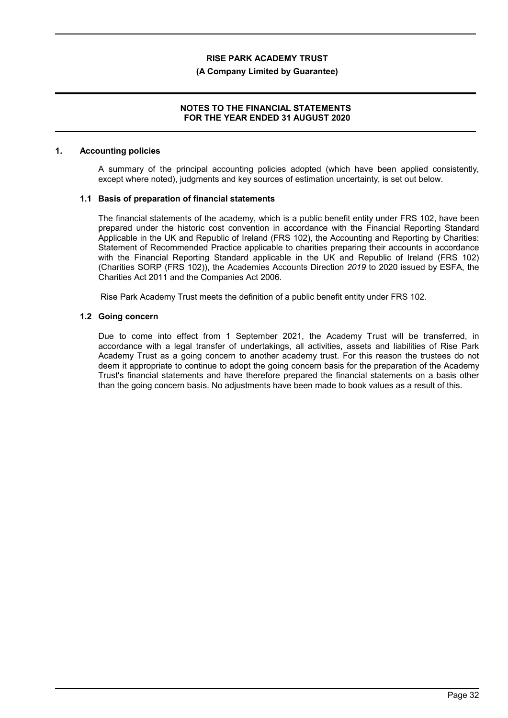#### **(A Company Limited by Guarantee)**

#### **NOTES TO THE FINANCIAL STATEMENTS FOR THE YEAR ENDED 31 AUGUST 2020**

#### **1. Accounting policies**

A summary of the principal accounting policies adopted (which have been applied consistently, except where noted), judgments and key sources of estimation uncertainty, is set out below.

#### **1.1 Basis of preparation of financial statements**

The financial statements of the academy, which is a public benefit entity under FRS 102, have been prepared under the historic cost convention in accordance with the Financial Reporting Standard Applicable in the UK and Republic of Ireland (FRS 102), the Accounting and Reporting by Charities: Statement of Recommended Practice applicable to charities preparing their accounts in accordance with the Financial Reporting Standard applicable in the UK and Republic of Ireland (FRS 102) (Charities SORP (FRS 102)), the Academies Accounts Direction *2019* to 2020 issued by ESFA, the Charities Act 2011 and the Companies Act 2006.

Rise Park Academy Trust meets the definition of a public benefit entity under FRS 102.

### **1.2 Going concern**

Due to come into effect from 1 September 2021, the Academy Trust will be transferred, in accordance with a legal transfer of undertakings, all activities, assets and liabilities of Rise Park Academy Trust as a going concern to another academy trust. For this reason the trustees do not deem it appropriate to continue to adopt the going concern basis for the preparation of the Academy Trust's financial statements and have therefore prepared the financial statements on a basis other than the going concern basis. No adjustments have been made to book values as a result of this.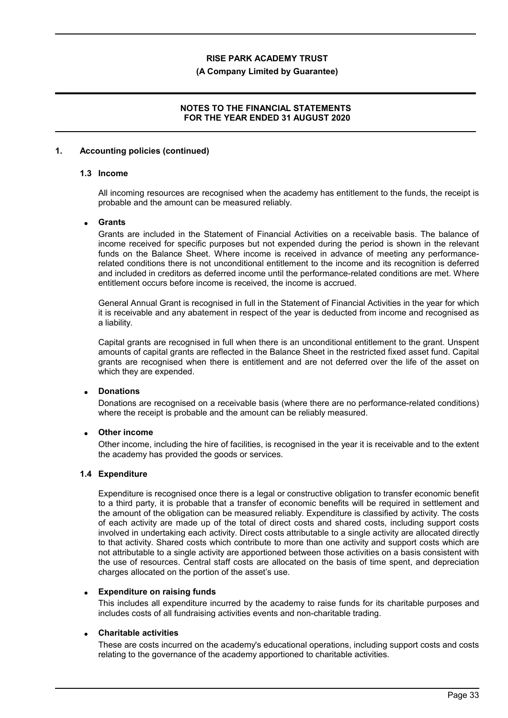#### **(A Company Limited by Guarantee)**

### **NOTES TO THE FINANCIAL STATEMENTS FOR THE YEAR ENDED 31 AUGUST 2020**

#### **1. Accounting policies (continued)**

## **1.3 Income**

All incoming resources are recognised when the academy has entitlement to the funds, the receipt is probable and the amount can be measured reliably.

### **Grants**

Grants are included in the Statement of Financial Activities on a receivable basis. The balance of income received for specific purposes but not expended during the period is shown in the relevant funds on the Balance Sheet. Where income is received in advance of meeting any performancerelated conditions there is not unconditional entitlement to the income and its recognition is deferred and included in creditors as deferred income until the performance-related conditions are met. Where entitlement occurs before income is received, the income is accrued.

General Annual Grant is recognised in full in the Statement of Financial Activities in the year for which it is receivable and any abatement in respect of the year is deducted from income and recognised as a liability.

Capital grants are recognised in full when there is an unconditional entitlement to the grant. Unspent amounts of capital grants are reflected in the Balance Sheet in the restricted fixed asset fund. Capital grants are recognised when there is entitlement and are not deferred over the life of the asset on which they are expended.

### **Donations**

Donations are recognised on a receivable basis (where there are no performance-related conditions) where the receipt is probable and the amount can be reliably measured.

### **Other income**

Other income, including the hire of facilities, is recognised in the year it is receivable and to the extent the academy has provided the goods or services.

#### **1.4 Expenditure**

Expenditure is recognised once there is a legal or constructive obligation to transfer economic benefit to a third party, it is probable that a transfer of economic benefits will be required in settlement and the amount of the obligation can be measured reliably. Expenditure is classified by activity. The costs of each activity are made up of the total of direct costs and shared costs, including support costs involved in undertaking each activity. Direct costs attributable to a single activity are allocated directly to that activity. Shared costs which contribute to more than one activity and support costs which are not attributable to a single activity are apportioned between those activities on a basis consistent with the use of resources. Central staff costs are allocated on the basis of time spent, and depreciation charges allocated on the portion of the asset's use.

### **Expenditure on raising funds**

This includes all expenditure incurred by the academy to raise funds for its charitable purposes and includes costs of all fundraising activities events and non-charitable trading.

### **Charitable activities**

These are costs incurred on the academy's educational operations, including support costs and costs relating to the governance of the academy apportioned to charitable activities.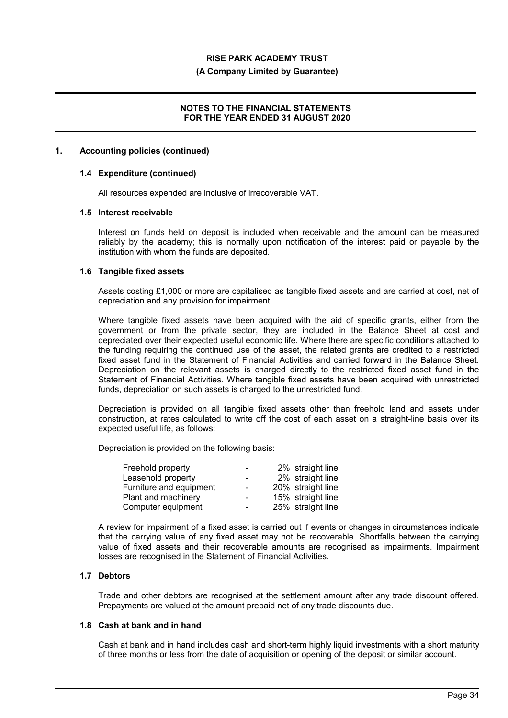#### **(A Company Limited by Guarantee)**

#### **NOTES TO THE FINANCIAL STATEMENTS FOR THE YEAR ENDED 31 AUGUST 2020**

#### **1. Accounting policies (continued)**

#### **1.4 Expenditure (continued)**

All resources expended are inclusive of irrecoverable VAT.

#### **1.5 Interest receivable**

Interest on funds held on deposit is included when receivable and the amount can be measured reliably by the academy; this is normally upon notification of the interest paid or payable by the institution with whom the funds are deposited.

#### **1.6 Tangible fixed assets**

Assets costing £1,000 or more are capitalised as tangible fixed assets and are carried at cost, net of depreciation and any provision for impairment.

Where tangible fixed assets have been acquired with the aid of specific grants, either from the government or from the private sector, they are included in the Balance Sheet at cost and depreciated over their expected useful economic life. Where there are specific conditions attached to the funding requiring the continued use of the asset, the related grants are credited to a restricted fixed asset fund in the Statement of Financial Activities and carried forward in the Balance Sheet. Depreciation on the relevant assets is charged directly to the restricted fixed asset fund in the Statement of Financial Activities. Where tangible fixed assets have been acquired with unrestricted funds, depreciation on such assets is charged to the unrestricted fund.

Depreciation is provided on all tangible fixed assets other than freehold land and assets under construction, at rates calculated to write off the cost of each asset on a straight-line basis over its expected useful life, as follows:

Depreciation is provided on the following basis:

| Freehold property       | $\overline{\phantom{0}}$ | 2% straight line  |
|-------------------------|--------------------------|-------------------|
| Leasehold property      | $\blacksquare$           | 2% straight line  |
| Furniture and equipment | $\overline{a}$           | 20% straight line |
| Plant and machinery     | $\sim$                   | 15% straight line |
| Computer equipment      | $\overline{\phantom{0}}$ | 25% straight line |

A review for impairment of a fixed asset is carried out if events or changes in circumstances indicate that the carrying value of any fixed asset may not be recoverable. Shortfalls between the carrying value of fixed assets and their recoverable amounts are recognised as impairments. Impairment losses are recognised in the Statement of Financial Activities.

### **1.7 Debtors**

Trade and other debtors are recognised at the settlement amount after any trade discount offered. Prepayments are valued at the amount prepaid net of any trade discounts due.

#### **1.8 Cash at bank and in hand**

Cash at bank and in hand includes cash and short-term highly liquid investments with a short maturity of three months or less from the date of acquisition or opening of the deposit or similar account.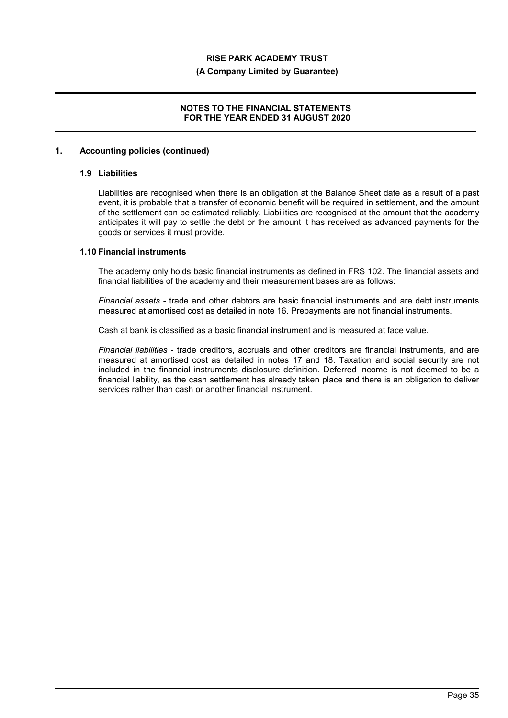#### **(A Company Limited by Guarantee)**

### **NOTES TO THE FINANCIAL STATEMENTS FOR THE YEAR ENDED 31 AUGUST 2020**

#### **1. Accounting policies (continued)**

#### **1.9 Liabilities**

Liabilities are recognised when there is an obligation at the Balance Sheet date as a result of a past event, it is probable that a transfer of economic benefit will be required in settlement, and the amount of the settlement can be estimated reliably. Liabilities are recognised at the amount that the academy anticipates it will pay to settle the debt or the amount it has received as advanced payments for the goods or services it must provide.

#### **1.10 Financial instruments**

The academy only holds basic financial instruments as defined in FRS 102. The financial assets and financial liabilities of the academy and their measurement bases are as follows:

*Financial assets* - trade and other debtors are basic financial instruments and are debt instruments measured at amortised cost as detailed in note 16. Prepayments are not financial instruments.

Cash at bank is classified as a basic financial instrument and is measured at face value.

*Financial liabilities* - trade creditors, accruals and other creditors are financial instruments, and are measured at amortised cost as detailed in notes 17 and 18. Taxation and social security are not included in the financial instruments disclosure definition. Deferred income is not deemed to be a financial liability, as the cash settlement has already taken place and there is an obligation to deliver services rather than cash or another financial instrument.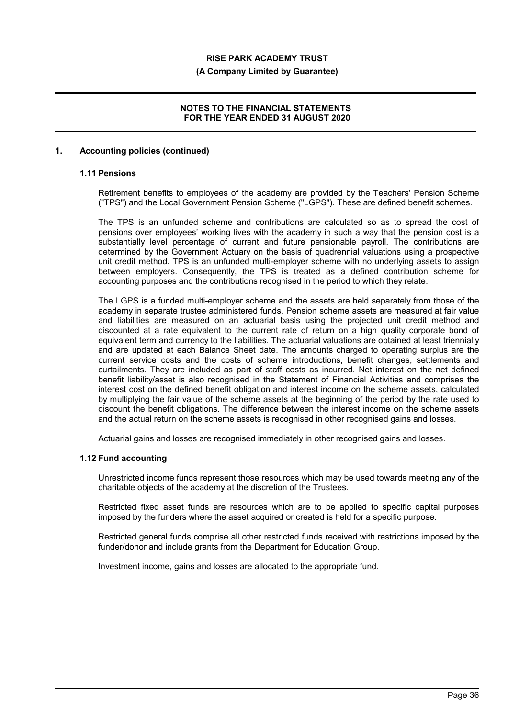#### **(A Company Limited by Guarantee)**

### **NOTES TO THE FINANCIAL STATEMENTS FOR THE YEAR ENDED 31 AUGUST 2020**

#### **1. Accounting policies (continued)**

# **1.11 Pensions**

Retirement benefits to employees of the academy are provided by the Teachers' Pension Scheme ("TPS") and the Local Government Pension Scheme ("LGPS"). These are defined benefit schemes.

The TPS is an unfunded scheme and contributions are calculated so as to spread the cost of pensions over employees' working lives with the academy in such a way that the pension cost is a substantially level percentage of current and future pensionable payroll. The contributions are determined by the Government Actuary on the basis of quadrennial valuations using a prospective unit credit method. TPS is an unfunded multi-employer scheme with no underlying assets to assign between employers. Consequently, the TPS is treated as a defined contribution scheme for accounting purposes and the contributions recognised in the period to which they relate.

The LGPS is a funded multi-employer scheme and the assets are held separately from those of the academy in separate trustee administered funds. Pension scheme assets are measured at fair value and liabilities are measured on an actuarial basis using the projected unit credit method and discounted at a rate equivalent to the current rate of return on a high quality corporate bond of equivalent term and currency to the liabilities. The actuarial valuations are obtained at least triennially and are updated at each Balance Sheet date. The amounts charged to operating surplus are the current service costs and the costs of scheme introductions, benefit changes, settlements and curtailments. They are included as part of staff costs as incurred. Net interest on the net defined benefit liability/asset is also recognised in the Statement of Financial Activities and comprises the interest cost on the defined benefit obligation and interest income on the scheme assets, calculated by multiplying the fair value of the scheme assets at the beginning of the period by the rate used to discount the benefit obligations. The difference between the interest income on the scheme assets and the actual return on the scheme assets is recognised in other recognised gains and losses.

Actuarial gains and losses are recognised immediately in other recognised gains and losses.

#### **1.12 Fund accounting**

Unrestricted income funds represent those resources which may be used towards meeting any of the charitable objects of the academy at the discretion of the Trustees.

Restricted fixed asset funds are resources which are to be applied to specific capital purposes imposed by the funders where the asset acquired or created is held for a specific purpose.

Restricted general funds comprise all other restricted funds received with restrictions imposed by the funder/donor and include grants from the Department for Education Group.

Investment income, gains and losses are allocated to the appropriate fund.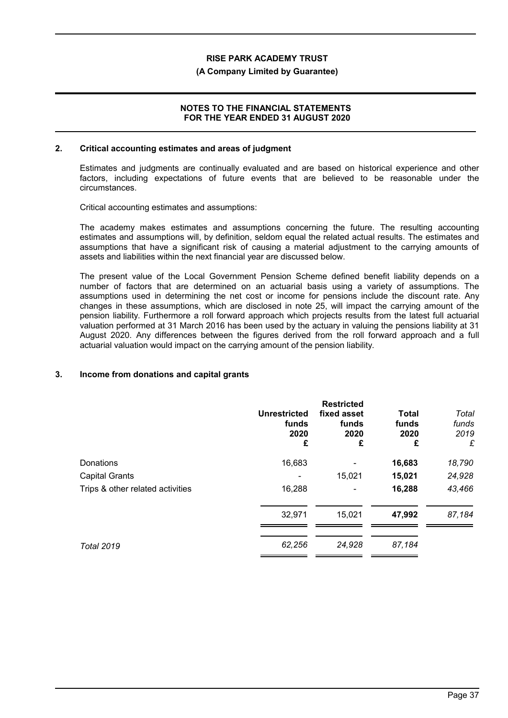#### **(A Company Limited by Guarantee)**

#### **NOTES TO THE FINANCIAL STATEMENTS FOR THE YEAR ENDED 31 AUGUST 2020**

#### **2. Critical accounting estimates and areas of judgment**

Estimates and judgments are continually evaluated and are based on historical experience and other factors, including expectations of future events that are believed to be reasonable under the circumstances.

Critical accounting estimates and assumptions:

The academy makes estimates and assumptions concerning the future. The resulting accounting estimates and assumptions will, by definition, seldom equal the related actual results. The estimates and assumptions that have a significant risk of causing a material adjustment to the carrying amounts of assets and liabilities within the next financial year are discussed below.

The present value of the Local Government Pension Scheme defined benefit liability depends on a number of factors that are determined on an actuarial basis using a variety of assumptions. The assumptions used in determining the net cost or income for pensions include the discount rate. Any changes in these assumptions, which are disclosed in note 25, will impact the carrying amount of the pension liability. Furthermore a roll forward approach which projects results from the latest full actuarial valuation performed at 31 March 2016 has been used by the actuary in valuing the pensions liability at 31 August 2020. Any differences between the figures derived from the roll forward approach and a full actuarial valuation would impact on the carrying amount of the pension liability.

### **3. Income from donations and capital grants**

|                                  | <b>Unrestricted</b><br>funds<br>2020<br>£ | <b>Restricted</b><br>fixed asset<br>funds<br>2020<br>£ | <b>Total</b><br>funds<br>2020<br>£ | Total<br>funds<br>2019<br>£ |
|----------------------------------|-------------------------------------------|--------------------------------------------------------|------------------------------------|-----------------------------|
| Donations                        | 16,683                                    |                                                        | 16,683                             | 18,790                      |
| <b>Capital Grants</b>            |                                           | 15,021                                                 | 15,021                             | 24,928                      |
| Trips & other related activities | 16,288                                    |                                                        | 16,288                             | 43,466                      |
|                                  | 32,971                                    | 15,021                                                 | 47,992                             | 87,184                      |
| <b>Total 2019</b>                | 62,256                                    | 24,928                                                 | 87,184                             |                             |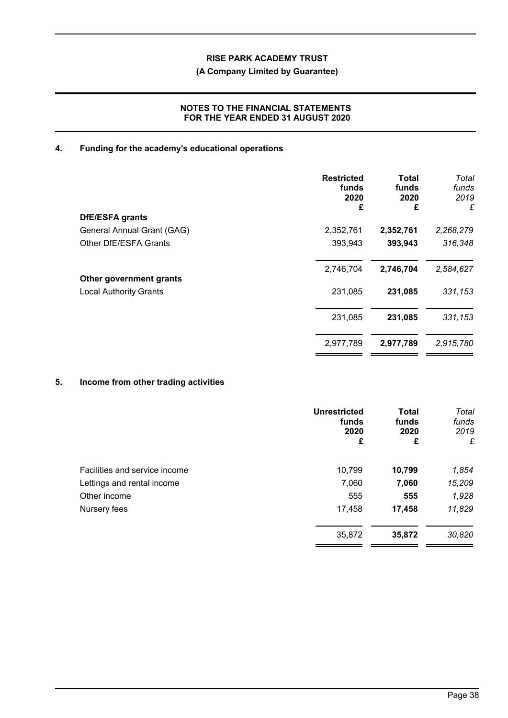# **(A Company Limited by Guarantee)**

# **NOTES TO THE FINANCIAL STATEMENTS FOR THE YEAR ENDED 31 AUGUST 2020**

# **4. Funding for the academy's educational operations**

| <b>Restricted</b><br>funds<br>2020<br>£ | Total<br>funds<br>2020<br>£ | Total<br>funds<br>2019<br>£ |
|-----------------------------------------|-----------------------------|-----------------------------|
|                                         |                             |                             |
| 2,352,761                               | 2,352,761                   | 2,268,279                   |
| 393,943                                 | 393,943                     | 316,348                     |
| 2,746,704                               | 2,746,704                   | 2,584,627                   |
| 231,085                                 | 231,085                     | 331,153                     |
| 231,085                                 | 231,085                     | 331,153                     |
| 2,977,789                               | 2,977,789                   | 2,915,780                   |
|                                         |                             |                             |

# **5. Income from other trading activities**

| <b>Unrestricted</b><br>funds<br>2020<br>£ | <b>Total</b><br>funds<br>2020<br>£ | Total<br>funds<br>2019<br>£ |
|-------------------------------------------|------------------------------------|-----------------------------|
| 10,799                                    | 10,799                             | 1,854                       |
| 7,060                                     | 7,060                              | 15,209                      |
| 555                                       | 555                                | 1,928                       |
| 17,458                                    | 17,458                             | 11,829                      |
| 35,872                                    | 35,872                             | 30,820                      |
|                                           |                                    |                             |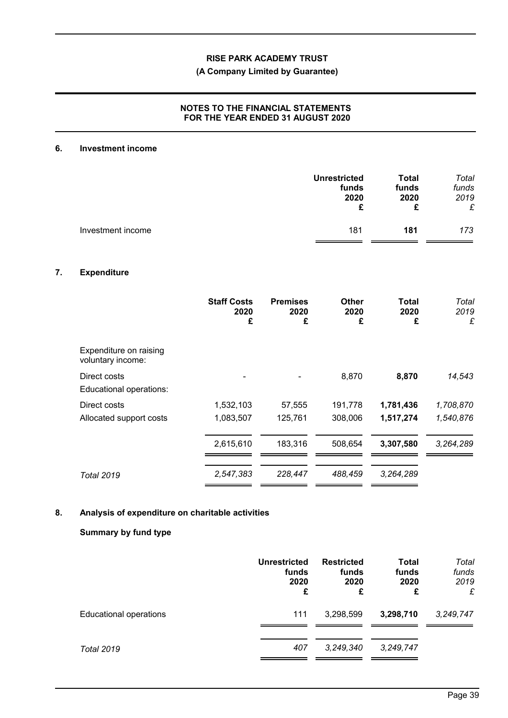# **(A Company Limited by Guarantee)**

# **NOTES TO THE FINANCIAL STATEMENTS FOR THE YEAR ENDED 31 AUGUST 2020**

#### **6. Investment income**

|                   | <b>Unrestricted</b> | Total | Total |
|-------------------|---------------------|-------|-------|
|                   | funds               | funds | funds |
|                   | 2020                | 2020  | 2019  |
|                   | £                   | £     | £     |
| Investment income | 181                 | 181   | 173   |

# **7. Expenditure**

|                                             | <b>Staff Costs</b><br>2020<br>£ | <b>Premises</b><br>2020<br>£ | <b>Other</b><br>2020<br>£ | Total<br>2020<br>£ | Total<br>2019<br>£ |
|---------------------------------------------|---------------------------------|------------------------------|---------------------------|--------------------|--------------------|
| Expenditure on raising<br>voluntary income: |                                 |                              |                           |                    |                    |
| Direct costs<br>Educational operations:     |                                 |                              | 8,870                     | 8,870              | 14,543             |
| Direct costs                                | 1,532,103                       | 57,555                       | 191,778                   | 1,781,436          | 1,708,870          |
| Allocated support costs                     | 1,083,507                       | 125,761                      | 308,006                   | 1,517,274          | 1,540,876          |
|                                             | 2,615,610                       | 183,316                      | 508,654                   | 3,307,580          | 3,264,289          |
| <b>Total 2019</b>                           | 2,547,383                       | 228,447                      | 488,459                   | 3,264,289          |                    |

# **8. Analysis of expenditure on charitable activities**

# **Summary by fund type**

|                               | Unrestricted<br>funds<br>2020<br>£ | <b>Restricted</b><br>funds<br>2020<br>£ | <b>Total</b><br>funds<br>2020<br>£ | Total<br>funds<br>2019<br>£ |
|-------------------------------|------------------------------------|-----------------------------------------|------------------------------------|-----------------------------|
| <b>Educational operations</b> | 111                                | 3,298,599                               | 3,298,710                          | 3,249,747                   |
| <b>Total 2019</b>             | 407                                | 3,249,340                               | 3, 249, 747                        |                             |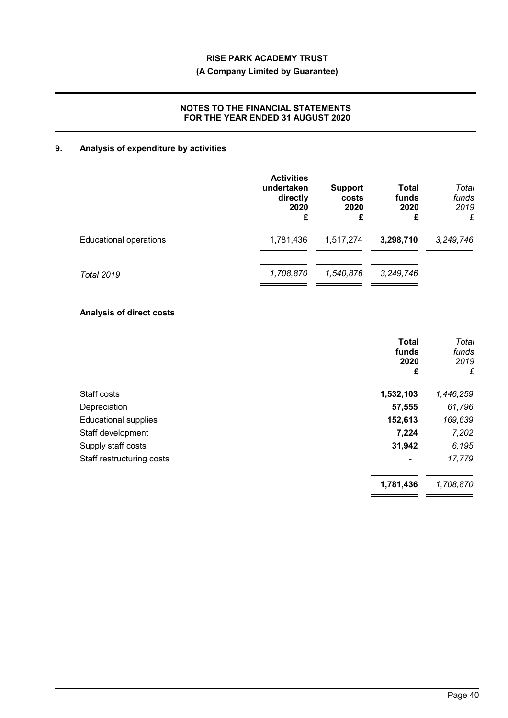# **(A Company Limited by Guarantee)**

# **NOTES TO THE FINANCIAL STATEMENTS FOR THE YEAR ENDED 31 AUGUST 2020**

# **9. Analysis of expenditure by activities**

|                        | <b>Activities</b><br>undertaken<br>directly<br>2020<br>£ | <b>Support</b><br>costs<br>2020<br>£ | <b>Total</b><br>funds<br>2020<br>£ | Total<br>funds<br>2019<br>£ |
|------------------------|----------------------------------------------------------|--------------------------------------|------------------------------------|-----------------------------|
| Educational operations | 1,781,436                                                | 1,517,274                            | 3,298,710                          | 3,249,746                   |
| <b>Total 2019</b>      | 1,708,870                                                | 1,540,876                            | 3,249,746                          |                             |

#### **Analysis of direct costs**

|                             | <b>Total</b><br>funds<br>2020<br>£ | Total<br>funds<br>2019<br>£ |
|-----------------------------|------------------------------------|-----------------------------|
| Staff costs                 | 1,532,103                          | 1,446,259                   |
| Depreciation                | 57,555                             | 61,796                      |
| <b>Educational supplies</b> | 152,613                            | 169,639                     |
| Staff development           | 7,224                              | 7,202                       |
| Supply staff costs          | 31,942                             | 6,195                       |
| Staff restructuring costs   | $\blacksquare$                     | 17,779                      |
|                             | 1,781,436                          | 1,708,870                   |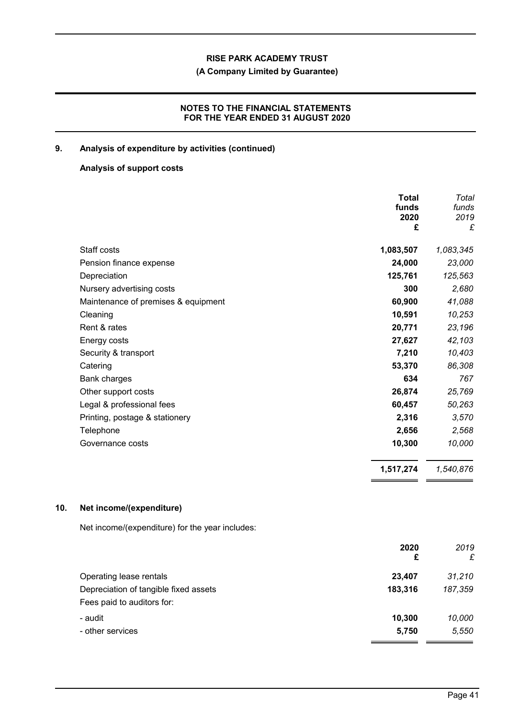# **(A Company Limited by Guarantee)**

# **NOTES TO THE FINANCIAL STATEMENTS FOR THE YEAR ENDED 31 AUGUST 2020**

# **9. Analysis of expenditure by activities (continued)**

#### **Analysis of support costs**

|                                     | Total<br>funds<br>2020<br>£ | Total<br>funds<br>2019<br>£ |
|-------------------------------------|-----------------------------|-----------------------------|
| Staff costs                         | 1,083,507                   | 1,083,345                   |
| Pension finance expense             | 24,000                      | 23,000                      |
| Depreciation                        | 125,761                     | 125,563                     |
| Nursery advertising costs           | 300                         | 2,680                       |
| Maintenance of premises & equipment | 60,900                      | 41,088                      |
| Cleaning                            | 10,591                      | 10,253                      |
| Rent & rates                        | 20,771                      | 23,196                      |
| Energy costs                        | 27,627                      | 42,103                      |
| Security & transport                | 7,210                       | 10,403                      |
| Catering                            | 53,370                      | 86,308                      |
| Bank charges                        | 634                         | 767                         |
| Other support costs                 | 26,874                      | 25,769                      |
| Legal & professional fees           | 60,457                      | 50,263                      |
| Printing, postage & stationery      | 2,316                       | 3,570                       |
| Telephone                           | 2,656                       | 2,568                       |
| Governance costs                    | 10,300                      | 10,000                      |
|                                     | 1,517,274                   | 1,540,876                   |

# **10. Net income/(expenditure)**

Net income/(expenditure) for the year includes:

|                                                                     | 2020<br>£ | 2019<br>£ |
|---------------------------------------------------------------------|-----------|-----------|
| Operating lease rentals                                             | 23,407    | 31,210    |
| Depreciation of tangible fixed assets<br>Fees paid to auditors for: | 183,316   | 187,359   |
| - audit                                                             | 10,300    | 10,000    |
| - other services                                                    | 5,750     | 5,550     |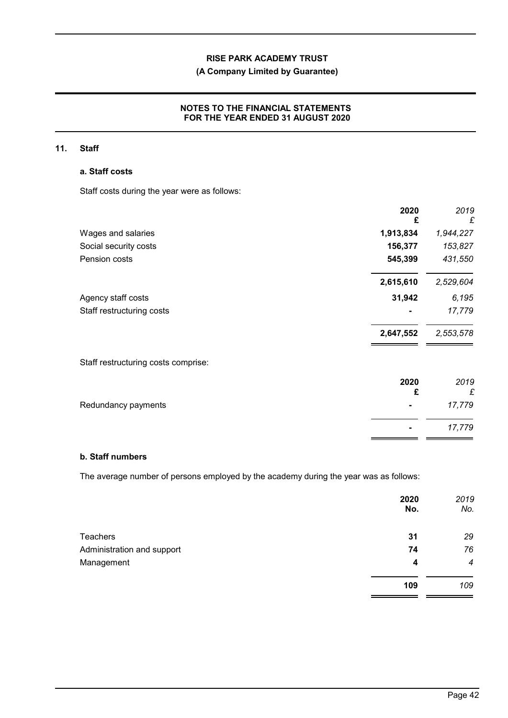# **(A Company Limited by Guarantee)**

# **NOTES TO THE FINANCIAL STATEMENTS FOR THE YEAR ENDED 31 AUGUST 2020**

#### **11. Staff**

#### **a. Staff costs**

Staff costs during the year were as follows:

|                                     | 2020<br>£ | 2019<br>£ |
|-------------------------------------|-----------|-----------|
| Wages and salaries                  | 1,913,834 | 1,944,227 |
| Social security costs               | 156,377   | 153,827   |
| Pension costs                       | 545,399   | 431,550   |
|                                     | 2,615,610 | 2,529,604 |
| Agency staff costs                  | 31,942    | 6,195     |
| Staff restructuring costs           |           | 17,779    |
|                                     | 2,647,552 | 2,553,578 |
| Staff restructuring costs comprise: |           |           |
|                                     | 2020      | 2019      |
|                                     | £         | £         |

| Redundancy payments | 17,779 |
|---------------------|--------|
|                     |        |

# **b. Staff numbers**

The average number of persons employed by the academy during the year was as follows:

|                            | 2020<br>No. | 2019<br>No.      |
|----------------------------|-------------|------------------|
| <b>Teachers</b>            | 31          | 29               |
| Administration and support | 74          | 76               |
| Management                 | 4           | $\boldsymbol{4}$ |
|                            | 109         | 109              |

**-** *17,779*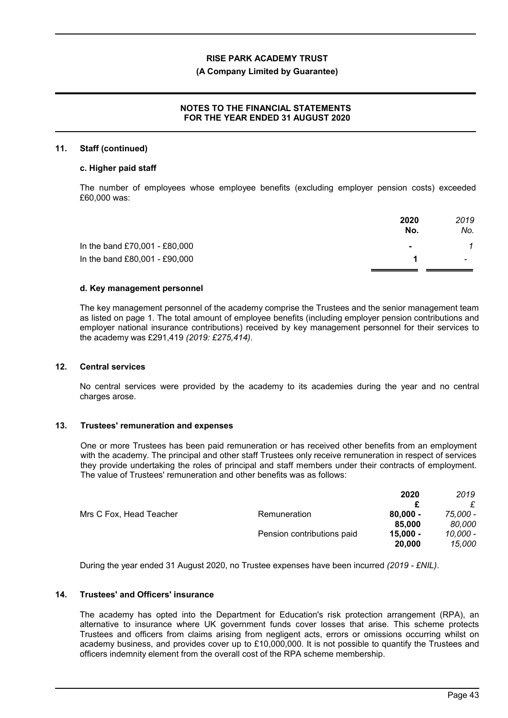#### **(A Company Limited by Guarantee)**

# **NOTES TO THE FINANCIAL STATEMENTS FOR THE YEAR ENDED 31 AUGUST 2020**

#### **11. Staff (continued)**

#### **c. Higher paid staff**

The number of employees whose employee benefits (excluding employer pension costs) exceeded £60,000 was:

|                               | 2020<br>No.    | 2019<br>No.              |
|-------------------------------|----------------|--------------------------|
| In the band £70,001 - £80,000 | $\blacksquare$ |                          |
| In the band £80,001 - £90,000 |                | $\overline{\phantom{0}}$ |
|                               |                |                          |

#### **d. Key management personnel**

The key management personnel of the academy comprise the Trustees and the senior management team as listed on page 1. The total amount of employee benefits (including employer pension contributions and employer national insurance contributions) received by key management personnel for their services to the academy was £291,419 *(2019: £275,414)*.

#### **12. Central services**

No central services were provided by the academy to its academies during the year and no central charges arose.

### **13. Trustees' remuneration and expenses**

One or more Trustees has been paid remuneration or has received other benefits from an employment with the academy. The principal and other staff Trustees only receive remuneration in respect of services they provide undertaking the roles of principal and staff members under their contracts of employment. The value of Trustees' remuneration and other benefits was as follows:

|                            | 2020       | 2019     |
|----------------------------|------------|----------|
|                            |            | £        |
| Remuneration               | $80,000 -$ | 75.000 - |
|                            | 85,000     | 80,000   |
| Pension contributions paid | $15,000 -$ | 10,000 - |
|                            | 20,000     | 15,000   |
|                            |            |          |

During the year ended 31 August 2020, no Trustee expenses have been incurred *(2019 - £NIL)*.

#### **14. Trustees' and Officers' insurance**

The academy has opted into the Department for Education's risk protection arrangement (RPA), an alternative to insurance where UK government funds cover losses that arise. This scheme protects Trustees and officers from claims arising from negligent acts, errors or omissions occurring whilst on academy business, and provides cover up to £10,000,000. It is not possible to quantify the Trustees and officers indemnity element from the overall cost of the RPA scheme membership.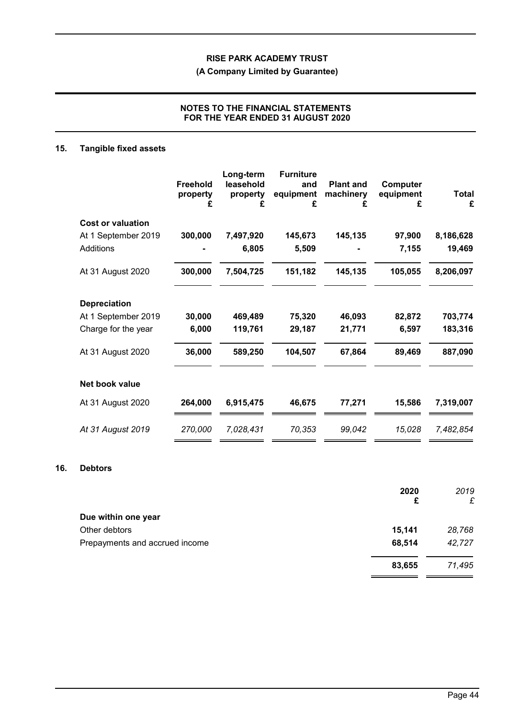**(A Company Limited by Guarantee)**

# **NOTES TO THE FINANCIAL STATEMENTS FOR THE YEAR ENDED 31 AUGUST 2020**

# **15. Tangible fixed assets**

|                          | <b>Freehold</b><br>property<br>£ | Long-term<br>leasehold<br>property<br>£ | <b>Furniture</b><br>and<br>equipment<br>£ | <b>Plant and</b><br>machinery<br>£ | Computer<br>equipment<br>£ | <b>Total</b><br>£ |
|--------------------------|----------------------------------|-----------------------------------------|-------------------------------------------|------------------------------------|----------------------------|-------------------|
| <b>Cost or valuation</b> |                                  |                                         |                                           |                                    |                            |                   |
| At 1 September 2019      | 300,000                          | 7,497,920                               | 145,673                                   | 145,135                            | 97,900                     | 8,186,628         |
| Additions                |                                  | 6,805                                   | 5,509                                     |                                    | 7,155                      | 19,469            |
| At 31 August 2020        | 300,000                          | 7,504,725                               | 151,182                                   | 145,135                            | 105,055                    | 8,206,097         |
| <b>Depreciation</b>      |                                  |                                         |                                           |                                    |                            |                   |
| At 1 September 2019      | 30,000                           | 469,489                                 | 75,320                                    | 46,093                             | 82,872                     | 703,774           |
| Charge for the year      | 6,000                            | 119,761                                 | 29,187                                    | 21,771                             | 6,597                      | 183,316           |
| At 31 August 2020        | 36,000                           | 589,250                                 | 104,507                                   | 67,864                             | 89,469                     | 887,090           |
| Net book value           |                                  |                                         |                                           |                                    |                            |                   |
| At 31 August 2020        | 264,000                          | 6,915,475                               | 46,675                                    | 77,271                             | 15,586                     | 7,319,007         |
| At 31 August 2019        | 270,000                          | 7,028,431                               | 70,353                                    | 99,042                             | 15,028                     | 7,482,854         |

#### **16. Debtors**

|                                | 2020<br>£ | 2019<br>£ |
|--------------------------------|-----------|-----------|
| Due within one year            |           |           |
| Other debtors                  | 15,141    | 28,768    |
| Prepayments and accrued income | 68,514    | 42,727    |
|                                | 83,655    | 71,495    |
|                                |           |           |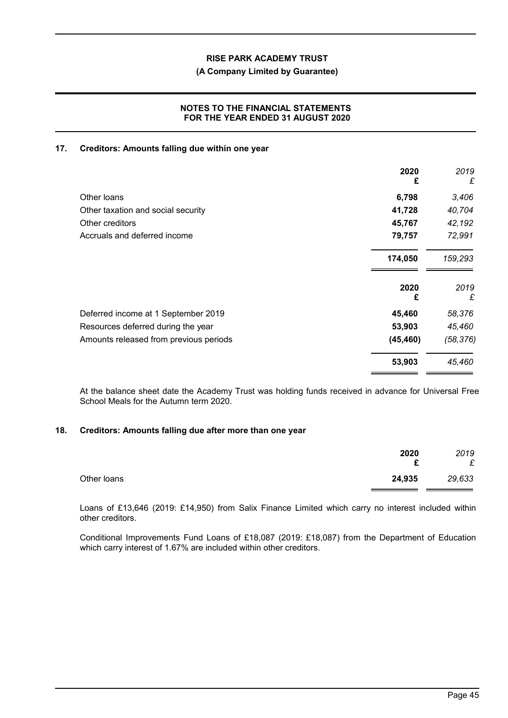# **(A Company Limited by Guarantee)**

#### **NOTES TO THE FINANCIAL STATEMENTS FOR THE YEAR ENDED 31 AUGUST 2020**

#### **17. Creditors: Amounts falling due within one year**

|                                        | 2020<br>£ | 2019<br>£ |
|----------------------------------------|-----------|-----------|
| Other loans                            | 6,798     | 3,406     |
| Other taxation and social security     | 41,728    | 40,704    |
| Other creditors                        | 45,767    | 42,192    |
| Accruals and deferred income           | 79,757    | 72,991    |
|                                        | 174,050   | 159,293   |
|                                        | 2020<br>£ | 2019<br>£ |
| Deferred income at 1 September 2019    | 45,460    | 58,376    |
| Resources deferred during the year     | 53,903    | 45,460    |
| Amounts released from previous periods | (45, 460) | (58, 376) |
|                                        | 53,903    | 45,460    |

At the balance sheet date the Academy Trust was holding funds received in advance for Universal Free School Meals for the Autumn term 2020.

### **18. Creditors: Amounts falling due after more than one year**

|             | 2020<br>c | 2019<br>£ |
|-------------|-----------|-----------|
| Other loans | 24,935    | 29,633    |

Loans of £13,646 (2019: £14,950) from Salix Finance Limited which carry no interest included within other creditors.

Conditional Improvements Fund Loans of £18,087 (2019: £18,087) from the Department of Education which carry interest of 1.67% are included within other creditors.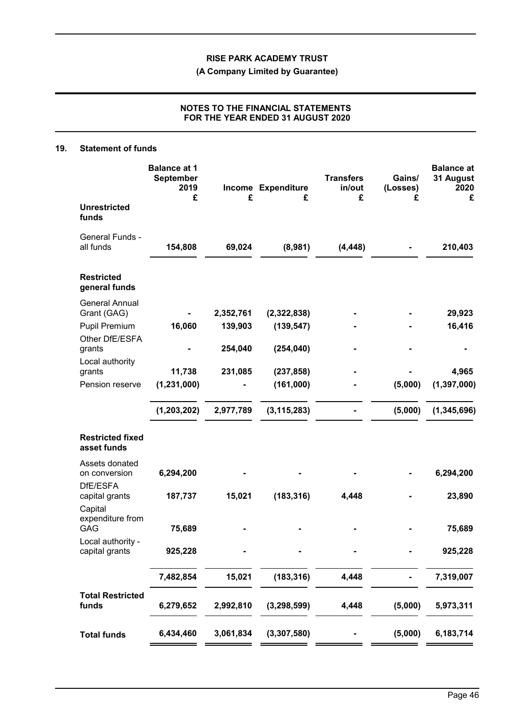**(A Company Limited by Guarantee)**

# **NOTES TO THE FINANCIAL STATEMENTS FOR THE YEAR ENDED 31 AUGUST 2020**

#### **19. Statement of funds**

|                                                                                | <b>Balance at 1</b><br><b>September</b><br>2019<br>£ | £                    | Income Expenditure<br>£               | <b>Transfers</b><br>in/out<br>£ | Gains/<br>(Losses)<br>£ | <b>Balance at</b><br>31 August<br>2020<br>£ |
|--------------------------------------------------------------------------------|------------------------------------------------------|----------------------|---------------------------------------|---------------------------------|-------------------------|---------------------------------------------|
| <b>Unrestricted</b><br>funds                                                   |                                                      |                      |                                       |                                 |                         |                                             |
| General Funds -<br>all funds                                                   | 154,808                                              | 69,024               | (8,981)                               | (4, 448)                        |                         | 210,403                                     |
| <b>Restricted</b><br>general funds                                             |                                                      |                      |                                       |                                 |                         |                                             |
| <b>General Annual</b><br>Grant (GAG)<br><b>Pupil Premium</b><br>Other DfE/ESFA | 16,060                                               | 2,352,761<br>139,903 | (2,322,838)<br>(139, 547)             |                                 |                         | 29,923<br>16,416                            |
| grants<br>Local authority<br>grants<br>Pension reserve                         | 11,738<br>(1, 231, 000)                              | 254,040<br>231,085   | (254, 040)<br>(237, 858)<br>(161,000) |                                 | (5,000)                 | 4,965<br>(1, 397, 000)                      |
|                                                                                | (1, 203, 202)                                        | 2,977,789            | (3, 115, 283)                         |                                 | (5,000)                 | (1, 345, 696)                               |
| <b>Restricted fixed</b><br>asset funds                                         |                                                      |                      |                                       |                                 |                         |                                             |
| Assets donated<br>on conversion<br>DfE/ESFA                                    | 6,294,200                                            |                      |                                       |                                 |                         | 6,294,200                                   |
| capital grants<br>Capital<br>expenditure from<br><b>GAG</b>                    | 187,737<br>75,689                                    | 15,021               | (183, 316)                            | 4,448                           |                         | 23,890<br>75,689                            |
| Local authority -<br>capital grants                                            | 925,228                                              |                      |                                       |                                 |                         | 925,228                                     |
|                                                                                | 7,482,854                                            | 15,021               | (183, 316)                            | 4,448                           |                         | 7,319,007                                   |
| <b>Total Restricted</b><br>funds                                               | 6,279,652                                            | 2,992,810            | (3, 298, 599)                         | 4,448                           | (5,000)                 | 5,973,311                                   |
| <b>Total funds</b>                                                             | 6,434,460                                            | 3,061,834            | (3, 307, 580)                         |                                 | (5,000)                 | 6,183,714                                   |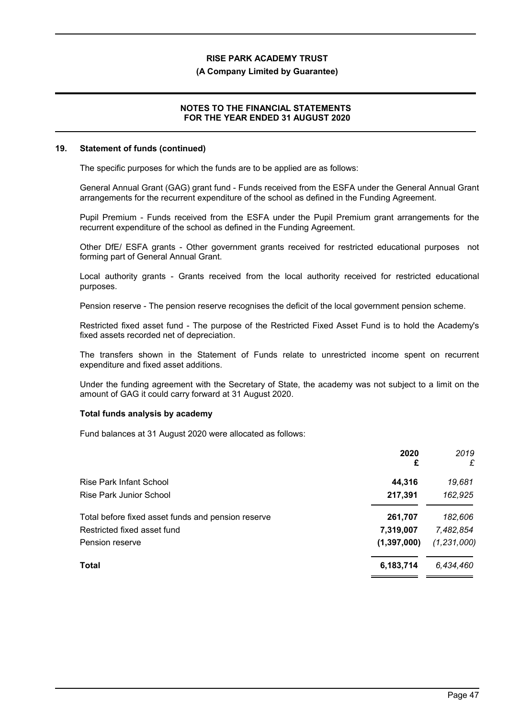#### **(A Company Limited by Guarantee)**

#### **NOTES TO THE FINANCIAL STATEMENTS FOR THE YEAR ENDED 31 AUGUST 2020**

#### **19. Statement of funds (continued)**

The specific purposes for which the funds are to be applied are as follows:

General Annual Grant (GAG) grant fund - Funds received from the ESFA under the General Annual Grant arrangements for the recurrent expenditure of the school as defined in the Funding Agreement.

Pupil Premium - Funds received from the ESFA under the Pupil Premium grant arrangements for the recurrent expenditure of the school as defined in the Funding Agreement.

Other DfE/ ESFA grants - Other government grants received for restricted educational purposes not forming part of General Annual Grant.

Local authority grants - Grants received from the local authority received for restricted educational purposes.

Pension reserve - The pension reserve recognises the deficit of the local government pension scheme.

Restricted fixed asset fund - The purpose of the Restricted Fixed Asset Fund is to hold the Academy's fixed assets recorded net of depreciation.

The transfers shown in the Statement of Funds relate to unrestricted income spent on recurrent expenditure and fixed asset additions.

Under the funding agreement with the Secretary of State, the academy was not subject to a limit on the amount of GAG it could carry forward at 31 August 2020.

#### **Total funds analysis by academy**

Fund balances at 31 August 2020 were allocated as follows:

|                                                    | 2020<br>£     | 2019<br>£     |
|----------------------------------------------------|---------------|---------------|
| Rise Park Infant School                            | 44,316        | 19,681        |
| <b>Rise Park Junior School</b>                     | 217,391       | 162,925       |
| Total before fixed asset funds and pension reserve | 261,707       | 182,606       |
| Restricted fixed asset fund                        | 7,319,007     | 7,482,854     |
| Pension reserve                                    | (1, 397, 000) | (1, 231, 000) |
| <b>Total</b>                                       | 6,183,714     | 6,434,460     |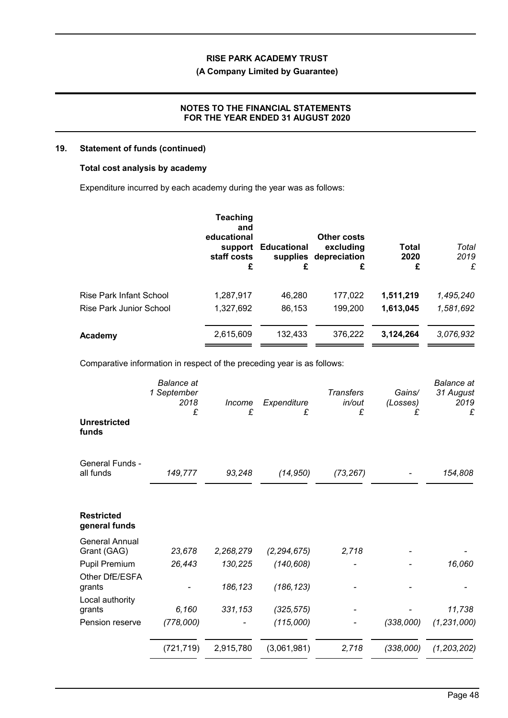# **(A Company Limited by Guarantee)**

# **NOTES TO THE FINANCIAL STATEMENTS FOR THE YEAR ENDED 31 AUGUST 2020**

#### **19. Statement of funds (continued)**

#### **Total cost analysis by academy**

Expenditure incurred by each academy during the year was as follows:

|                         | <b>Teaching</b><br>and<br>educational<br>support<br>staff costs<br>£ | <b>Educational</b><br>£ | Other costs<br>excluding<br>supplies depreciation<br>£ | <b>Total</b><br>2020<br>£ | Total<br>2019<br>£ |
|-------------------------|----------------------------------------------------------------------|-------------------------|--------------------------------------------------------|---------------------------|--------------------|
| Rise Park Infant School | 1,287,917                                                            | 46,280                  | 177,022                                                | 1,511,219                 | 1,495,240          |
| Rise Park Junior School | 1,327,692                                                            | 86,153                  | 199,200                                                | 1,613,045                 | 1,581,692          |
| Academy                 | 2,615,609                                                            | 132,433                 | 376,222                                                | 3,124,264                 | 3,076,932          |

Comparative information in respect of the preceding year is as follows:

| <b>Unrestricted</b><br>funds         | <b>Balance</b> at<br>1 September<br>2018<br>£ | Income<br>£ | Expenditure<br>£ | <b>Transfers</b><br>in/out<br>£ | Gains/<br>(Losses)<br>£ | <b>Balance</b> at<br>31 August<br>2019<br>£ |
|--------------------------------------|-----------------------------------------------|-------------|------------------|---------------------------------|-------------------------|---------------------------------------------|
|                                      |                                               |             |                  |                                 |                         |                                             |
| <b>General Funds -</b><br>all funds  | 149,777                                       | 93,248      | (14, 950)        | (73, 267)                       |                         | 154,808                                     |
| <b>Restricted</b><br>general funds   |                                               |             |                  |                                 |                         |                                             |
| <b>General Annual</b><br>Grant (GAG) | 23,678                                        | 2,268,279   | (2, 294, 675)    | 2,718                           |                         |                                             |
| Pupil Premium                        | 26,443                                        | 130,225     | (140, 608)       |                                 |                         | 16,060                                      |
| Other DfE/ESFA<br>grants             |                                               | 186,123     | (186, 123)       |                                 |                         |                                             |
| Local authority<br>grants            | 6,160                                         | 331,153     | (325, 575)       |                                 |                         | 11,738                                      |
| Pension reserve                      | (778,000)                                     |             | (115,000)        |                                 | (338,000)               | (1, 231, 000)                               |
|                                      | (721, 719)                                    | 2,915,780   | (3,061,981)      | 2,718                           | (338,000)               | (1, 203, 202)                               |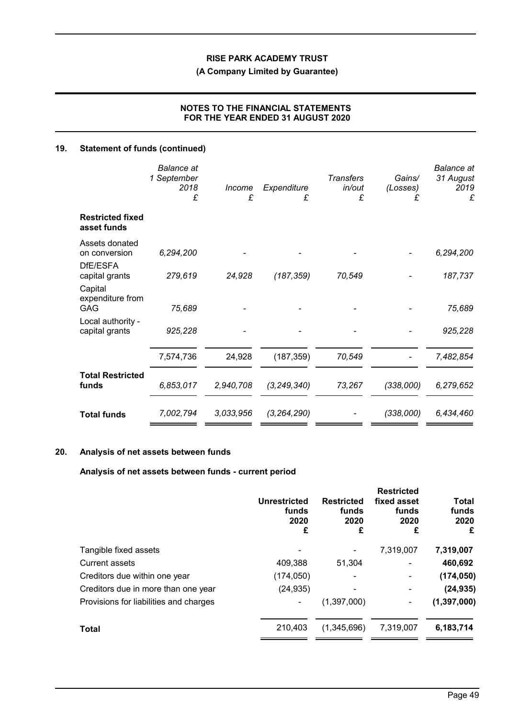**(A Company Limited by Guarantee)**

# **NOTES TO THE FINANCIAL STATEMENTS FOR THE YEAR ENDED 31 AUGUST 2020**

# **19. Statement of funds (continued)**

|                                               | <b>Balance</b> at<br>1 September<br>2018<br>£ | Income<br>£ | Expenditure<br>£ | <b>Transfers</b><br>in/out<br>£ | Gains/<br>(Losses)<br>£ | <b>Balance</b> at<br>31 August<br>2019<br>£ |
|-----------------------------------------------|-----------------------------------------------|-------------|------------------|---------------------------------|-------------------------|---------------------------------------------|
| <b>Restricted fixed</b><br>asset funds        |                                               |             |                  |                                 |                         |                                             |
| Assets donated<br>on conversion<br>DfE/ESFA   | 6,294,200                                     |             |                  |                                 |                         | 6,294,200                                   |
| capital grants<br>Capital<br>expenditure from | 279,619                                       | 24,928      | (187, 359)       | 70,549                          |                         | 187,737                                     |
| GAG                                           | 75,689                                        |             |                  |                                 |                         | 75,689                                      |
| Local authority -<br>capital grants           | 925,228                                       |             |                  |                                 |                         | 925,228                                     |
|                                               | 7,574,736                                     | 24,928      | (187, 359)       | 70,549                          |                         | 7,482,854                                   |
| <b>Total Restricted</b><br>funds              | 6,853,017                                     | 2,940,708   | (3, 249, 340)    | 73,267                          | (338,000)               | 6,279,652                                   |
| <b>Total funds</b>                            | 7,002,794                                     | 3,033,956   | (3, 264, 290)    |                                 | (338,000)               | 6,434,460                                   |

# **20. Analysis of net assets between funds**

# **Analysis of net assets between funds - current period**

|                                        | <b>Unrestricted</b><br>funds<br>2020<br>£ | <b>Restricted</b><br>funds<br>2020<br>£ | <b>Restricted</b><br>fixed asset<br>funds<br>2020<br>£ | Total<br>funds<br>2020<br>£ |
|----------------------------------------|-------------------------------------------|-----------------------------------------|--------------------------------------------------------|-----------------------------|
| Tangible fixed assets                  |                                           |                                         | 7,319,007                                              | 7,319,007                   |
| Current assets                         | 409,388                                   | 51,304                                  |                                                        | 460,692                     |
| Creditors due within one year          | (174, 050)                                |                                         | ۰                                                      | (174, 050)                  |
| Creditors due in more than one year    | (24, 935)                                 |                                         | ٠                                                      | (24, 935)                   |
| Provisions for liabilities and charges |                                           | (1,397,000)                             | ۰                                                      | (1, 397, 000)               |
| Total                                  | 210,403                                   | (1,345,696)                             | 7,319,007                                              | 6,183,714                   |
|                                        |                                           |                                         |                                                        |                             |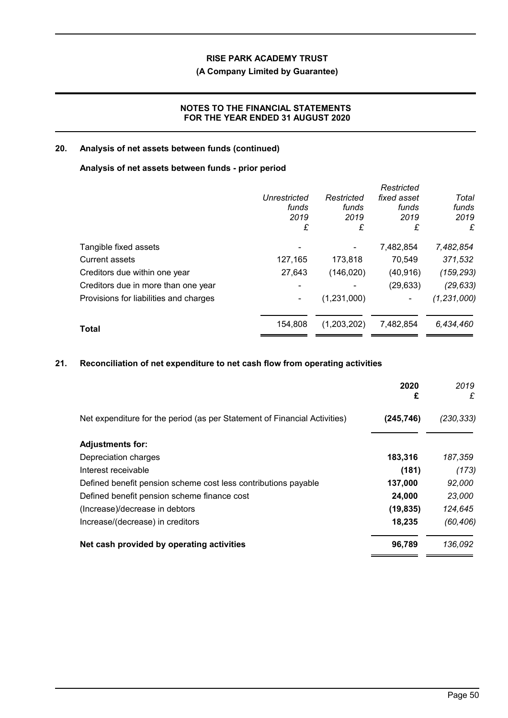# **(A Company Limited by Guarantee)**

# **NOTES TO THE FINANCIAL STATEMENTS FOR THE YEAR ENDED 31 AUGUST 2020**

# **20. Analysis of net assets between funds (continued)**

#### **Analysis of net assets between funds - prior period**

|                                        |              |             | Restricted  |               |
|----------------------------------------|--------------|-------------|-------------|---------------|
|                                        | Unrestricted | Restricted  | fixed asset | Total         |
|                                        | funds        | funds       | funds       | funds         |
|                                        | 2019         | 2019        | 2019        | 2019          |
|                                        | £            | £           | £           | £             |
| Tangible fixed assets                  |              |             | 7,482,854   | 7,482,854     |
| Current assets                         | 127,165      | 173,818     | 70,549      | 371,532       |
| Creditors due within one year          | 27,643       | (146, 020)  | (40, 916)   | (159, 293)    |
| Creditors due in more than one year    |              |             | (29, 633)   | (29, 633)     |
| Provisions for liabilities and charges |              | (1,231,000) | ۰           | (1, 231, 000) |
| <b>Total</b>                           | 154.808      | (1,203,202) | 7,482,854   | 6,434,460     |
|                                        |              |             |             |               |

# **21. Reconciliation of net expenditure to net cash flow from operating activities**

|                                                                           | 2020<br>£  | 2019<br>£ |
|---------------------------------------------------------------------------|------------|-----------|
| Net expenditure for the period (as per Statement of Financial Activities) | (245, 746) | (230,333) |
| <b>Adjustments for:</b>                                                   |            |           |
| Depreciation charges                                                      | 183,316    | 187,359   |
| Interest receivable                                                       | (181)      | (173)     |
| Defined benefit pension scheme cost less contributions payable            | 137,000    | 92,000    |
| Defined benefit pension scheme finance cost                               | 24,000     | 23,000    |
| (Increase)/decrease in debtors                                            | (19, 835)  | 124,645   |
| Increase/(decrease) in creditors                                          | 18,235     | (60, 406) |
| Net cash provided by operating activities                                 | 96,789     | 136,092   |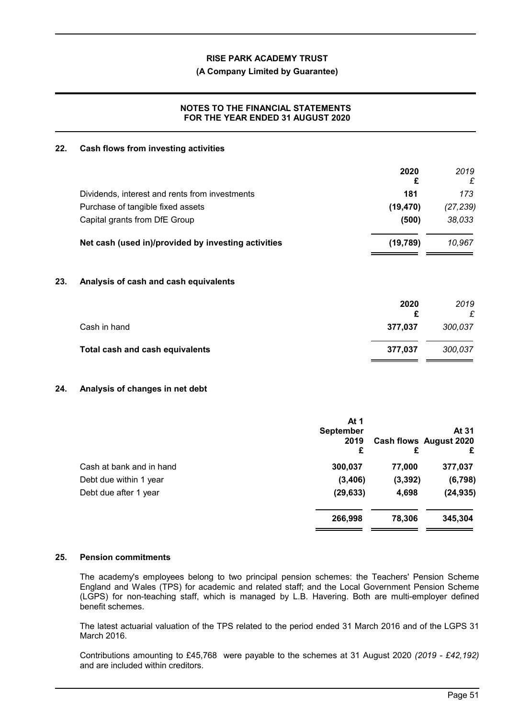#### **(A Company Limited by Guarantee)**

### **NOTES TO THE FINANCIAL STATEMENTS FOR THE YEAR ENDED 31 AUGUST 2020**

#### **22. Cash flows from investing activities**

|                                                     | 2020<br>£ | 2019<br>£ |
|-----------------------------------------------------|-----------|-----------|
| Dividends, interest and rents from investments      | 181       | 173       |
| Purchase of tangible fixed assets                   | (19, 470) | (27, 239) |
| Capital grants from DfE Group                       | (500)     | 38,033    |
| Net cash (used in)/provided by investing activities | (19, 789) | 10,967    |
| Analysis of cash and cash equivalents               |           |           |
|                                                     | 2020      | 2019      |
|                                                     | £         | £         |
| Cash in hand                                        | 377,037   | 300,037   |
| <b>Total cash and cash equivalents</b>              | 377,037   | 300,037   |
|                                                     |           |           |

### **24. Analysis of changes in net debt**

|                          | At 1      |          |                        |
|--------------------------|-----------|----------|------------------------|
|                          | September |          | At 31                  |
|                          | 2019      |          | Cash flows August 2020 |
|                          | £         | £        | £                      |
| Cash at bank and in hand | 300,037   | 77,000   | 377,037                |
| Debt due within 1 year   | (3,406)   | (3, 392) | (6, 798)               |
| Debt due after 1 year    | (29, 633) | 4,698    | (24, 935)              |
|                          | 266,998   | 78.306   | 345,304                |

#### **25. Pension commitments**

The academy's employees belong to two principal pension schemes: the Teachers' Pension Scheme England and Wales (TPS) for academic and related staff; and the Local Government Pension Scheme (LGPS) for non-teaching staff, which is managed by L.B. Havering. Both are multi-employer defined benefit schemes.

The latest actuarial valuation of the TPS related to the period ended 31 March 2016 and of the LGPS 31 March 2016.

Contributions amounting to £45,768 were payable to the schemes at 31 August 2020 *(2019 - £42,192)* and are included within creditors.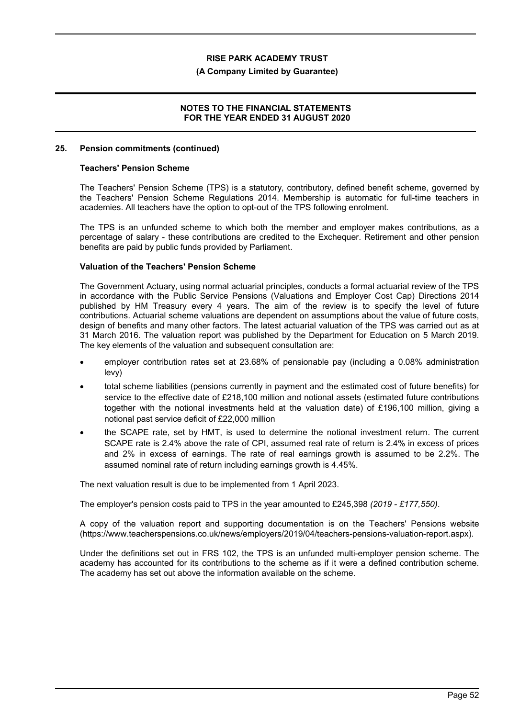#### **(A Company Limited by Guarantee)**

#### **NOTES TO THE FINANCIAL STATEMENTS FOR THE YEAR ENDED 31 AUGUST 2020**

#### **25. Pension commitments (continued)**

#### **Teachers' Pension Scheme**

The Teachers' Pension Scheme (TPS) is a statutory, contributory, defined benefit scheme, governed by the Teachers' Pension Scheme Regulations 2014. Membership is automatic for full-time teachers in academies. All teachers have the option to opt-out of the TPS following enrolment.

The TPS is an unfunded scheme to which both the member and employer makes contributions, as a percentage of salary - these contributions are credited to the Exchequer. Retirement and other pension benefits are paid by public funds provided by Parliament.

#### **Valuation of the Teachers' Pension Scheme**

The Government Actuary, using normal actuarial principles, conducts a formal actuarial review of the TPS in accordance with the Public Service Pensions (Valuations and Employer Cost Cap) Directions 2014 published by HM Treasury every 4 years. The aim of the review is to specify the level of future contributions. Actuarial scheme valuations are dependent on assumptions about the value of future costs, design of benefits and many other factors. The latest actuarial valuation of the TPS was carried out as at 31 March 2016. The valuation report was published by the Department for Education on 5 March 2019. The key elements of the valuation and subsequent consultation are:

- employer contribution rates set at 23.68% of pensionable pay (including a 0.08% administration levy)
- total scheme liabilities (pensions currently in payment and the estimated cost of future benefits) for service to the effective date of £218,100 million and notional assets (estimated future contributions together with the notional investments held at the valuation date) of £196,100 million, giving a notional past service deficit of £22,000 million
- the SCAPE rate, set by HMT, is used to determine the notional investment return. The current SCAPE rate is 2.4% above the rate of CPI, assumed real rate of return is 2.4% in excess of prices and 2% in excess of earnings. The rate of real earnings growth is assumed to be 2.2%. The assumed nominal rate of return including earnings growth is 4.45%.

The next valuation result is due to be implemented from 1 April 2023.

The employer's pension costs paid to TPS in the year amounted to £245,398 *(2019 - £177,550)*.

A copy of the valuation report and supporting documentation is on the Teachers' Pensions website (https://www.teacherspensions.co.uk/news/employers/2019/04/teachers-pensions-valuation-report.aspx).

Under the definitions set out in FRS 102, the TPS is an unfunded multi-employer pension scheme. The academy has accounted for its contributions to the scheme as if it were a defined contribution scheme. The academy has set out above the information available on the scheme.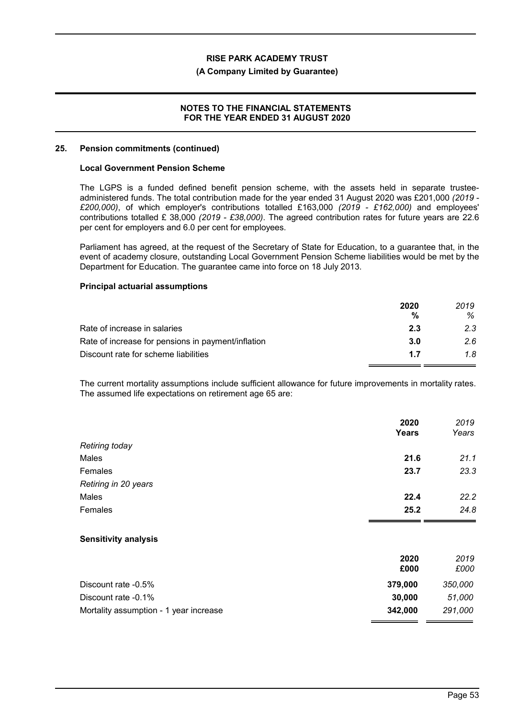#### **(A Company Limited by Guarantee)**

#### **NOTES TO THE FINANCIAL STATEMENTS FOR THE YEAR ENDED 31 AUGUST 2020**

#### **25. Pension commitments (continued)**

#### **Local Government Pension Scheme**

The LGPS is a funded defined benefit pension scheme, with the assets held in separate trusteeadministered funds. The total contribution made for the year ended 31 August 2020 was £201,000 *(2019 - £200,000)*, of which employer's contributions totalled £163,000 *(2019 - £162,000)* and employees' contributions totalled £ 38,000 *(2019 - £38,000)*. The agreed contribution rates for future years are 22.6 per cent for employers and 6.0 per cent for employees.

Parliament has agreed, at the request of the Secretary of State for Education, to a guarantee that, in the event of academy closure, outstanding Local Government Pension Scheme liabilities would be met by the Department for Education. The guarantee came into force on 18 July 2013.

#### **Principal actuarial assumptions**

|                                                    | 2020<br>% | 2019<br>℅ |
|----------------------------------------------------|-----------|-----------|
| Rate of increase in salaries                       | 2.3       | 2.3       |
| Rate of increase for pensions in payment/inflation | 3.0       | 2.6       |
| Discount rate for scheme liabilities               | 1.7       | 1.8       |

The current mortality assumptions include sufficient allowance for future improvements in mortality rates. The assumed life expectations on retirement age 65 are:

|                                        | 2020<br><b>Years</b> | 2019<br>Years |
|----------------------------------------|----------------------|---------------|
| Retiring today                         |                      |               |
| Males                                  | 21.6                 | 21.1          |
| Females                                | 23.7                 | 23.3          |
| Retiring in 20 years                   |                      |               |
| Males                                  | 22.4                 | 22.2          |
| Females                                | 25.2                 | 24.8          |
| <b>Sensitivity analysis</b>            |                      |               |
|                                        | 2020<br>£000         | 2019<br>£000  |
| Discount rate -0.5%                    | 379,000              | 350,000       |
| Discount rate -0.1%                    | 30,000               | 51,000        |
| Mortality assumption - 1 year increase | 342,000              | 291,000       |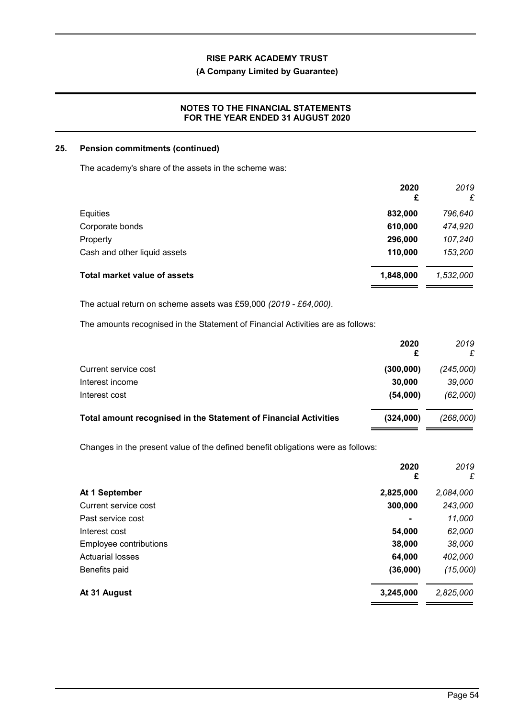# **(A Company Limited by Guarantee)**

# **NOTES TO THE FINANCIAL STATEMENTS FOR THE YEAR ENDED 31 AUGUST 2020**

#### **25. Pension commitments (continued)**

The academy's share of the assets in the scheme was:

|                                     | 2020<br>£ | 2019<br>£ |
|-------------------------------------|-----------|-----------|
| Equities                            | 832,000   | 796,640   |
| Corporate bonds                     | 610,000   | 474,920   |
| Property                            | 296,000   | 107,240   |
| Cash and other liquid assets        | 110,000   | 153,200   |
| <b>Total market value of assets</b> | 1,848,000 | 1,532,000 |

The actual return on scheme assets was £59,000 *(2019 - £64,000)*.

The amounts recognised in the Statement of Financial Activities are as follows:

|                                                                  | 2020<br>£ | 2019      |
|------------------------------------------------------------------|-----------|-----------|
| Current service cost                                             | (300,000) | (245,000) |
| Interest income                                                  | 30,000    | 39,000    |
| Interest cost                                                    | (54,000)  | (62,000)  |
| Total amount recognised in the Statement of Financial Activities | (324,000) | (268,000) |

Changes in the present value of the defined benefit obligations were as follows:

|                         | 2020<br>£ | 2019<br>£ |
|-------------------------|-----------|-----------|
| At 1 September          | 2,825,000 | 2,084,000 |
| Current service cost    | 300,000   | 243,000   |
| Past service cost       | ٠         | 11,000    |
| Interest cost           | 54,000    | 62,000    |
| Employee contributions  | 38,000    | 38,000    |
| <b>Actuarial losses</b> | 64,000    | 402,000   |
| Benefits paid           | (36,000)  | (15,000)  |
| At 31 August            | 3,245,000 | 2,825,000 |